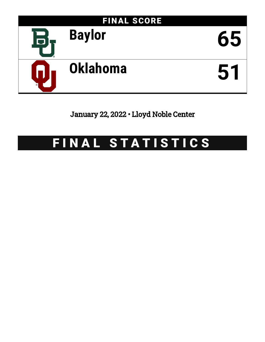

January 22, 2022 • Lloyd Noble Center

# FINAL STATISTICS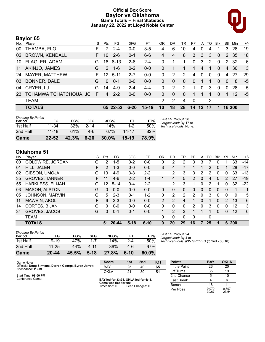### **Official Box Score Baylor vs Oklahoma Game Totals -- Final Statistics January 22, 2022 at Lloyd Noble Center**



# **Baylor 65**

| No.       | Player                 | S  | Pts             | FG.      | 3FG      | FT      | OR           | DR           | TR       | PF           | A            | TO.         | <b>Blk</b> | Stl      | Min    | $+/-$ |
|-----------|------------------------|----|-----------------|----------|----------|---------|--------------|--------------|----------|--------------|--------------|-------------|------------|----------|--------|-------|
| 00        | THAMBA, FLO            | F  |                 | $2 - 4$  | $0 - 0$  | $3-5$   | 4            | 6            | 10       | 4            | 0            | 4           |            | 3        | 28     | 19    |
| 02        | <b>BROWN, KENDALL</b>  | F. | 10              | $2 - 6$  | $0 - 1$  | $6-6$   | 4            | 4            | 8        | 3            | 3            | 3           | $\Omega$   | 2        | 35     | 18    |
| 10        | <b>FLAGLER, ADAM</b>   | G. | 16              | $6 - 13$ | $2 - 6$  | $2 - 4$ | 0            | 1            |          | $\Omega$     | 3            | 2           | $\Omega$   |          | 2 32   | 6     |
| 11        | AKINJO, JAMES          | G  | $\mathcal{P}$   | $1 - 6$  | $0 - 2$  | $0 - 0$ | 0            |              | 1        | 1            | 4            | $\mathbf 1$ | $\Omega$   | 4        | 30     | 3     |
| 24        | MAYER, MATTHEW         | F. | 12 <sup>°</sup> | $5 - 11$ | $2 - 7$  | $0 - 0$ | 0            | 2            | 2        | 4            | $\mathbf{0}$ | $\Omega$    | $\Omega$   | 4        | 27     | 29    |
| 03        | BONNER, DALE           | G  | $\Omega$        | $0 - 1$  | $0 - 0$  | $0 - 0$ | $\mathbf{0}$ | $\mathbf{0}$ | $\Omega$ | $\mathbf{0}$ |              | 1           | $\Omega$   | $\Omega$ | 8      | -5    |
| 04        | CRYER, LJ              | G  | 14              | $4-9$    | $2 - 4$  | $4 - 4$ | $\Omega$     | 2            | 2        | 1            | $\mathbf{0}$ | 3           | $\Omega$   | $\Omega$ | 28     | 5     |
| <b>23</b> | TCHAMWA TCHATCHOUA, JO | F  | 4               | $2 - 2$  | $0 - 0$  | $0 - 0$ | $\Omega$     | $\Omega$     | $\Omega$ | 1            | 1            | 1           | $\Omega$   | 1        | 12     | $-5$  |
|           | <b>TEAM</b>            |    |                 |          |          |         | 2            | 2            | 4        | $\mathbf{0}$ |              | 2           |            |          |        |       |
|           | <b>TOTALS</b>          |    |                 | 65 22-52 | $6 - 20$ | $15-19$ | 10           | 18           | 28       | 14           | 12 17        |             | 1          |          | 16 200 |       |

| Game                                | $22 - 52$ | 42.3%  | $6 - 20$ | $30.0\%$ | $15-19$   | 78.9% |                                              |
|-------------------------------------|-----------|--------|----------|----------|-----------|-------|----------------------------------------------|
| 2nd Half                            | $11 - 18$ | 61%    | 4-6      | 67%      | $14 - 17$ | 82%   |                                              |
| 1st Half                            | 11-34     | $32\%$ | $2 - 14$ | 14%      | $1 - 2$   | 50%   | Technical Fouls: None.                       |
| <b>Shooting By Period</b><br>Period | FG        | FG%    | 3FG      | 3FG%     | <b>FT</b> | FT%   | Last FG: 2nd-01:36<br>Largest lead: By 17 at |

## **Oklahoma 51**

| No. | Plaver                  | S  | Pts           | FG        | 3FG      | FТ       | 0R             | DR             | TR             | РF | A        | TO | <b>B</b> lk | Stl | Min        | $+/-$        |
|-----|-------------------------|----|---------------|-----------|----------|----------|----------------|----------------|----------------|----|----------|----|-------------|-----|------------|--------------|
| 00  | GOLDWIRE, JORDAN        | G  | $\mathcal{P}$ | $1-5$     | $0 - 2$  | $0-0$    | 0              | 2              | 2              | 3  | 3        |    | 0           |     | 33         | -14          |
| 01  | HILL, JALEN             | F  | 2             | $1 - 3$   | $0 - 0$  | $0 - 0$  | 3              | 4              |                |    | 1        | 2  | 0           |     | 28         | $-17$        |
| 02  | GIBSON, UMOJA           | G  | 13            | $4-9$     | $3 - 8$  | $2 - 2$  | 1.             | 2              | 3              | 3  | 2        | 2  | 0           | 0   | 33         | $-13$        |
| 35  | <b>GROVES, TANNER</b>   | F. | 11            | $4-6$     | $2 - 2$  | $1 - 4$  |                | 4              | 5              | 2  | $\Omega$ | 4  | $\Omega$    | 2   | 27         | $-19$        |
| 55  | <b>HARKLESS, ELIJAH</b> | G  | 12.           | $5 - 14$  | $0 - 4$  | $2 - 2$  | 1              | 2              | 3              |    | 0        | 2  |             | 0   | 32         | $-22$        |
| 03  | <b>MASON, ALSTON</b>    | G  | 0             | $0 - 0$   | $0 - 0$  | $0 - 0$  | 0              | 0              | 0              | 0  | $\Omega$ | 0  | $\Omega$    | 0   | 1          | 1            |
| 05  | <b>JOHNSON, MARVIN</b>  | G  | 5             | $2 - 3$   | $0 - 1$  | $1 - 2$  | 0              | 2              | $\overline{2}$ | 2  | 0        | 3  | 0           | 0   | 9          | 5            |
| 11  | MAWEIN, AKOL            | F  | 6             | $3 - 3$   | $0 - 0$  | $0 - 0$  | $\overline{2}$ | 2              | 4              |    | $\Omega$ | 1  | $\Omega$    | 2   | 13         | 6            |
| 14  | CORTES, BIJAN           | G  | $\Omega$      | $0 - 0$   | $0 - 0$  | $0 - 0$  | $\mathbf{0}$   | 0              | 0              | 2  | 0        | 3  | 0           | 0   | 12         | 3            |
| 34  | <b>GROVES, JACOB</b>    | G  | 0             | $0 - 1$   | $0 - 1$  | $0 - 0$  |                | $\overline{2}$ | 3              |    |          |    | $\Omega$    | 0   | 12         | $\mathbf{0}$ |
|     | <b>TEAM</b>             |    |               |           |          |          | 0              | 0              | 0              | 0  |          | 0  |             |     |            |              |
|     | <b>TOTALS</b>           |    | 51            | $20 - 44$ | $5 - 18$ | $6 - 10$ | 9              | 20             | 29             | 16 | 7        | 25 |             | 6   | <b>200</b> |              |
|     |                         |    |               |           |          |          |                |                |                |    |          |    |             |     |            |              |

| Game                                | $20 - 44$ | 45.5% | $5-18$ | 27.8% | $6 - 10$ | 60.0% |
|-------------------------------------|-----------|-------|--------|-------|----------|-------|
| 2nd Half                            | 11-25     | 44%   | 4-11   | 36%   | 4-6      | 67%   |
| 1st Half                            | $9 - 19$  | 47%   |        | 14%   | $2 - 4$  | 50%   |
| <b>Shooting By Period</b><br>Period | FG        | FG%   | 3FG    | 3FG%  | FТ       | FT%   |

*Last FG:* 2nd-01:24 *Largest lead:* By 4 at *Technical Fouls:* #35 GROVES @ 2nd - 06:18;

**Score 1st 2nd TOT** BAY 25 40 **65**

| Game Notes:<br>Officials: Doug Sirmons, Darron George, Byron Jarrett<br>Attendance: 11339 |
|-------------------------------------------------------------------------------------------|
|-------------------------------------------------------------------------------------------|

Start Time: **08:00 PM** Conference Game;

**BAY led for 33:34. OKLA led for 4:11. Game was tied for 0:0.** Times tied: **0** Lead Changes: **0**

OKLA 21 30 **51**

| <b>Points</b>     | <b>BAY</b>     | <b>OKLA</b>    |
|-------------------|----------------|----------------|
| In the Paint      | 26             | 20             |
| Off Turns         | 35             | 19             |
| 2nd Chance        | 5              | 10             |
| <b>Fast Break</b> | 4              | 6              |
| Bench             | 18             | 11             |
| Per Poss          | 0.970<br>30/67 | 0.797<br>23/64 |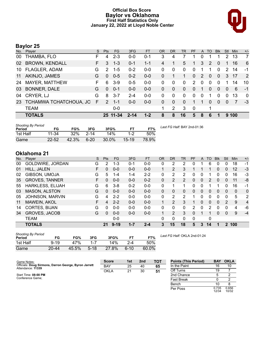### **Official Box Score Baylor vs Oklahoma First Half Statistics Only January 22, 2022 at Lloyd Noble Center**



# **Baylor 25**

| No. | Player                 | S. | <b>Pts</b>    | <b>FG</b> | 3FG      | FТ      | OR       | <b>DR</b> | TR       | <b>PF</b>    | A        | TO       | <b>B</b> lk | Stl      | <b>Min</b> | $+/-$          |
|-----|------------------------|----|---------------|-----------|----------|---------|----------|-----------|----------|--------------|----------|----------|-------------|----------|------------|----------------|
| 00  | THAMBA, FLO            | F  | 4             | $2 - 3$   | $0 - 0$  | $0 - 1$ | 3        | 4         |          |              | 0        |          |             | 2        | 13         | 7              |
| 02  | <b>BROWN, KENDALL</b>  | F. | 3             | $1 - 3$   | $0 - 1$  | $1 - 1$ | 4        |           | 5        | 1            | 3        | 2        | $\Omega$    |          | 16         | 6              |
|     | 10 FLAGLER, ADAM       | G  | 2             | $1 - 5$   | $0 - 2$  | $0-0$   | 0        | 0         | $\Omega$ | $\Omega$     |          | 1        | $\Omega$    | 2        | 14         | -1             |
| 11  | AKINJO, JAMES          | G  | $\Omega$      | $0 - 5$   | $0 - 2$  | $0-0$   | 0        |           | 1        | $\mathbf{0}$ | 2        | $\Omega$ | $\Omega$    | 3        | -17        | $\overline{2}$ |
| 24  | <b>MAYER, MATTHEW</b>  | F  | 6             | $3-9$     | $0-5$    | $0 - 0$ | 0        | 0         | $\Omega$ | 2            | $\Omega$ | $\Omega$ | $\Omega$    | 1        | 14         | 10             |
| 03  | <b>BONNER, DALE</b>    | G  | $\Omega$      | $0 - 1$   | $0 - 0$  | $0-0$   | 0        | $\Omega$  | $\Omega$ | $\Omega$     |          | $\Omega$ | $\Omega$    | $\Omega$ | 6          | $-1$           |
| 04  | CRYER, LJ              | G  | 8             | $3 - 7$   | $2 - 4$  | $0-0$   | $\Omega$ | $\Omega$  | $\Omega$ | $\Omega$     | $\Omega$ | 1        | $\Omega$    | $\Omega$ | 13         | $\Omega$       |
| 23  | TCHAMWA TCHATCHOUA, JO | F  | $\mathcal{P}$ | -1-1      | $0 - 0$  | $0 - 0$ | $\Omega$ | $\Omega$  | $\Omega$ | 1            |          | 0        | $\Omega$    | $\Omega$ | 7          | -3             |
|     | <b>TEAM</b>            |    |               | $0-0$     |          |         |          | 2         | 3        | - 0          |          | 1        |             |          |            |                |
|     | <b>TOTALS</b>          |    |               | 25 11-34  | $2 - 14$ | $1 - 2$ | 8        | 8         | 16       | 5            | 8        | 6        |             |          | 9100       |                |

| <b>Shooting By Period</b><br>Period | FG        | FG%   | 3FG      | 3FG%  |         | FT%   | Last FG Half: BAY 2nd-01:36 |
|-------------------------------------|-----------|-------|----------|-------|---------|-------|-----------------------------|
| 1st Half                            | $11 - 34$ | 32%   | $2 - 14$ | 14%   | $1-2$   | 50%   |                             |
| Game                                | $22 - 52$ | 42.3% | $6 - 20$ | 30.0% | $15-19$ | 78.9% |                             |

# **Oklahoma 21**

| No. | Player                  | S | <b>Pts</b>    | <b>FG</b> | 3FG     | <b>FT</b> | <b>OR</b>    | <b>DR</b>      | TR             | PF             | A        | TO           | <b>Blk</b> | Stl      | Min          | $+/-$          |
|-----|-------------------------|---|---------------|-----------|---------|-----------|--------------|----------------|----------------|----------------|----------|--------------|------------|----------|--------------|----------------|
| 00  | GOLDWIRE, JORDAN        | G | $\mathcal{P}$ | 1-3       | $0 - 1$ | $0-0$     | 0            | 2              | 2              |                |          | 6            | 0          | 0        | 18           | $-1$           |
| 01  | HILL, JALEN             | F | 0             | $0 - 0$   | $0 - 0$ | $0 - 0$   | 1            | 2              | 3              |                |          | 1            | 0          | $\Omega$ | 12           | $-3$           |
| 02  | GIBSON, UMOJA           | G | 5.            | $1 - 4$   | 1-4     | $2 - 2$   | 0            | 2              | 2              | 0              | 0        |              | 0          | 0        | 16           | -3             |
| 35  | <b>GROVES, TANNER</b>   | F | 0             | $0 - 0$   | $0 - 0$ | $0 - 2$   | $\Omega$     | $\overline{2}$ | $\overline{2}$ | 0              | 0        | 2            | 0          | 0        | 11           | -8             |
| 55  | <b>HARKLESS, ELIJAH</b> | G | 6             | $3 - 8$   | $0 - 2$ | $0 - 0$   | 0            |                | 1              | 0              | 0        | 1            |            | 0        | 16           | -1             |
| 03  | <b>MASON, ALSTON</b>    | G | 0             | $0 - 0$   | $0 - 0$ | $0 - 0$   | $\Omega$     | 0              | $\Omega$       | 0              | 0        | $\Omega$     | 0          | $\Omega$ | $\mathbf{0}$ | $\Omega$       |
| 05  | <b>JOHNSON, MARVIN</b>  | G | 4             | $2 - 2$   | $0 - 0$ | $0 - 0$   | $\mathbf{0}$ | 2              | 2              |                | 0        | 0            | 0          | $\Omega$ | 5            | 2              |
| 11  | MAWEIN, AKOL            | F | 4             | $2 - 2$   | $0 - 0$ | $0 - 0$   |              | 2              | 3              |                | 0        | $\mathbf{0}$ | 0          | 2        | 9            | $\overline{4}$ |
| 14  | <b>CORTES, BIJAN</b>    | G | 0             | $0-0$     | $0 - 0$ | $0 - 0$   | 0            | 0              | 0              | $\overline{2}$ | $\Omega$ | 2            | 0          | 0        | 4            | -6             |
| 34  | <b>GROVES, JACOB</b>    | G | 0             | $0 - 0$   | $0 - 0$ | $0 - 0$   | 1            | 2              | 3              | 0              |          | 1            | 0          | $\Omega$ | 9            | $-4$           |
|     | <b>TEAM</b>             |   |               | $0 - 0$   |         |           | 0            | 0              | $\Omega$       | $\mathbf{0}$   |          | $\mathbf{0}$ |            |          |              |                |
|     | <b>TOTALS</b>           |   | 21            | $9-19$    | $1 - 7$ | $2 - 4$   | 3            | 15             | 18             | 5              | 3        | 14           |            |          | 2 100        |                |
|     |                         |   |               |           |         |           |              |                |                |                |          |              |            |          |              |                |

| <b>Shooting By Period</b><br>Period | FG       | FG%   | 3FG     | 3FG%  |         | FT%   |
|-------------------------------------|----------|-------|---------|-------|---------|-------|
| 1st Half                            | $9 - 19$ | 47%   | $1 - 7$ | 14%   | $2 - 4$ | 50%   |
| Game                                | 20-44    | 45.5% | $5-18$  | 27.8% | $6-10$  | 60.0% |

*Last FG Half:* OKLA 2nd-01:24

| Game Notes:                                                                | <b>Score</b> | 1st | 2 <sub>nd</sub> | TOT | <b>Points (This Period)</b> | <b>BAY</b>     | <b>OKLA</b>    |
|----------------------------------------------------------------------------|--------------|-----|-----------------|-----|-----------------------------|----------------|----------------|
| Officials: Doug Sirmons, Darron George, Byron Jarrett<br>Attendance: 11339 | <b>BAY</b>   | 25  | 40              | 65  | In the Paint                | 16             | 10             |
|                                                                            | <b>OKLA</b>  | 21  | 30              | 51  | Off Turns                   | 19             |                |
| Start Time: 08:00 PM                                                       |              |     |                 |     | 2nd Chance                  |                |                |
| Conference Game;                                                           |              |     |                 |     | <b>Fast Break</b>           |                |                |
|                                                                            |              |     |                 |     | Bench                       | 10             |                |
|                                                                            |              |     |                 |     | Per Poss                    | 0.735<br>12/34 | 0.656<br>10/32 |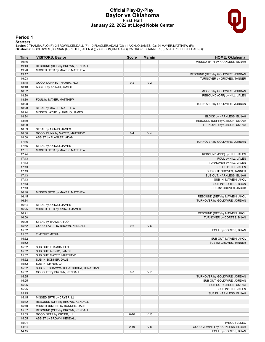#### **Official Play-By-Play Baylor vs Oklahoma First Half January 22, 2022 at Lloyd Noble Center**



#### **Period 1**

<mark>Starters:</mark><br>Baylor: 0 THAMBA,FLO (F); 2 BROWN,KENDALL (F); 10 FLAGLER,ADAM (G); 11 AKINJO,JAMES (G); 24 MAYER,MATTHEW (F);<br>Oklahoma: 0 GOLDWIRE,JORDAN (G); 1 HILL,JALEN (F); 2 GIBSON,UMOJA (G); 35 GROVES,TANNER (F); 55 HA

| Time  | <b>VISITORS: Baylor</b>              | <b>Score</b> | <b>Margin</b>  | <b>HOME: Oklahoma</b>             |
|-------|--------------------------------------|--------------|----------------|-----------------------------------|
| 19:46 |                                      |              |                | MISSED 3PTR by HARKLESS, ELIJAH   |
| 19:43 | REBOUND (DEF) by BROWN, KENDALL      |              |                |                                   |
| 19:20 | MISSED 3PTR by MAYER, MATTHEW        |              |                |                                   |
| 19:17 |                                      |              |                | REBOUND (DEF) by GOLDWIRE, JORDAN |
| 19:03 |                                      |              |                | TURNOVER by GROVES, TANNER        |
| 18:48 | GOOD! DUNK by THAMBA, FLO            | $0 - 2$      | V <sub>2</sub> |                                   |
| 18:48 | ASSIST by AKINJO, JAMES              |              |                |                                   |
| 18:32 |                                      |              |                | MISSED by GOLDWIRE, JORDAN        |
| 18:30 |                                      |              |                | REBOUND (OFF) by HILL, JALEN      |
| 18:30 | FOUL by MAYER, MATTHEW               |              |                |                                   |
| 18:28 |                                      |              |                | TURNOVER by GOLDWIRE, JORDAN      |
|       |                                      |              |                |                                   |
| 18:28 | STEAL by MAYER, MATTHEW              |              |                |                                   |
| 18:24 | MISSED LAYUP by AKINJO, JAMES        |              |                |                                   |
| 18:24 |                                      |              |                | BLOCK by HARKLESS, ELIJAH         |
| 18:10 |                                      |              |                | REBOUND (DEF) by GIBSON, UMOJA    |
| 18:09 |                                      |              |                | TURNOVER by GIBSON, UMOJA         |
| 18:09 | STEAL by AKINJO, JAMES               |              |                |                                   |
| 18:00 | GOOD! DUNK by MAYER, MATTHEW         | $0 - 4$      | V <sub>4</sub> |                                   |
| 18:00 | ASSIST by FLAGLER, ADAM              |              |                |                                   |
| 17:46 |                                      |              |                | TURNOVER by GOLDWIRE, JORDAN      |
| 17:46 | STEAL by AKINJO, JAMES               |              |                |                                   |
| 17:31 | MISSED 3PTR by MAYER, MATTHEW        |              |                |                                   |
| 17:24 |                                      |              |                | REBOUND (DEF) by HILL, JALEN      |
| 17:13 |                                      |              |                | FOUL by HILL, JALEN               |
| 17:13 |                                      |              |                | TURNOVER by HILL, JALEN           |
| 17:13 |                                      |              |                | SUB OUT: HILL, JALEN              |
| 17:13 |                                      |              |                | SUB OUT: GROVES, TANNER           |
| 17:13 |                                      |              |                | SUB OUT: HARKLESS, ELIJAH         |
| 17:13 |                                      |              |                | SUB IN: MAWEIN, AKOL              |
| 17:13 |                                      |              |                | SUB IN: CORTES, BIJAN             |
| 17:13 |                                      |              |                | SUB IN: GROVES, JACOB             |
| 16:48 | MISSED 3PTR by MAYER, MATTHEW        |              |                |                                   |
| 16:45 |                                      |              |                | REBOUND (DEF) by MAWEIN, AKOL     |
| 16:34 |                                      |              |                | TURNOVER by GOLDWIRE, JORDAN      |
| 16:34 | STEAL by AKINJO, JAMES               |              |                |                                   |
| 16:25 | MISSED 3PTR by AKINJO, JAMES         |              |                |                                   |
| 16:21 |                                      |              |                | REBOUND (DEF) by MAWEIN, AKOL     |
| 16:00 |                                      |              |                | TURNOVER by CORTES, BIJAN         |
| 16:00 | STEAL by THAMBA, FLO                 |              |                |                                   |
| 15:52 | GOOD! LAYUP by BROWN, KENDALL        | $0-6$        | $V_6$          |                                   |
| 15:52 |                                      |              |                | FOUL by CORTES, BIJAN             |
| 15:52 | <b>TIMEOUT MEDIA</b>                 |              |                |                                   |
| 15:52 |                                      |              |                | SUB OUT: MAWEIN, AKOL             |
| 15:52 |                                      |              |                | SUB IN: GROVES, TANNER            |
| 15:52 | SUB OUT: THAMBA, FLO                 |              |                |                                   |
| 15:52 | SUB OUT: AKINJO, JAMES               |              |                |                                   |
| 15:52 | SUB OUT: MAYER, MATTHEW              |              |                |                                   |
| 15:52 | SUB IN: BONNER, DALE                 |              |                |                                   |
| 15:52 | SUB IN: CRYER, LJ                    |              |                |                                   |
| 15:52 |                                      |              |                |                                   |
|       | SUB IN: TCHAMWA TCHATCHOUA, JONATHAN |              |                |                                   |
| 15:52 | GOOD! FT by BROWN, KENDALL           | $0 - 7$      | V <sub>7</sub> |                                   |
| 15:25 |                                      |              |                | TURNOVER by GOLDWIRE, JORDAN      |
| 15:25 |                                      |              |                | SUB OUT: GOLDWIRE, JORDAN         |
| 15:25 |                                      |              |                | SUB OUT: GIBSON, UMOJA            |
| 15:25 |                                      |              |                | SUB IN: HILL, JALEN               |
| 15:25 |                                      |              |                | SUB IN: HARKLESS, ELIJAH          |
| 15:15 | MISSED 3PTR by CRYER, LJ             |              |                |                                   |
| 15:12 | REBOUND (OFF) by BROWN, KENDALL      |              |                |                                   |
| 15:10 | MISSED JUMPER by BONNER, DALE        |              |                |                                   |
| 15:07 | REBOUND (OFF) by BROWN, KENDALL      |              |                |                                   |
| 15:05 | GOOD! 3PTR by CRYER, LJ              | $0 - 10$     | $V$ 10         |                                   |
| 15:05 | ASSIST by BROWN, KENDALL             |              |                |                                   |
| 15:04 |                                      |              |                | TIMEOUT 30SEC                     |
| 14:34 |                                      | $2 - 10$     | V 8            | GOOD! JUMPER by HARKLESS, ELIJAH  |
| 14:15 |                                      |              |                | FOUL by CORTES, BIJAN             |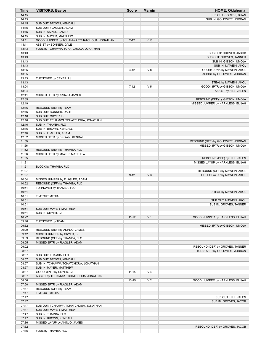| <b>Time</b>    | <b>VISITORS: Baylor</b>                                        | <b>Score</b> | <b>Margin</b>  | <b>HOME: Oklahoma</b>                                        |
|----------------|----------------------------------------------------------------|--------------|----------------|--------------------------------------------------------------|
| 14:15          |                                                                |              |                | SUB OUT: CORTES, BIJAN                                       |
| 14:15          |                                                                |              |                | SUB IN: GOLDWIRE, JORDAN                                     |
| 14:15          | SUB OUT: BROWN, KENDALL                                        |              |                |                                                              |
| 14:15          | SUB OUT: FLAGLER, ADAM                                         |              |                |                                                              |
| 14:15<br>14:15 | SUB IN: AKINJO, JAMES<br>SUB IN: MAYER, MATTHEW                |              |                |                                                              |
| 14:11          | GOOD! JUMPER by TCHAMWA TCHATCHOUA, JONATHAN                   | $2 - 12$     | $V$ 10         |                                                              |
| 14:11          | ASSIST by BONNER, DALE                                         |              |                |                                                              |
| 13:43          | FOUL by TCHAMWA TCHATCHOUA, JONATHAN                           |              |                |                                                              |
| 13:43          |                                                                |              |                | SUB OUT: GROVES, JACOB                                       |
| 13:43          |                                                                |              |                | SUB OUT: GROVES, TANNER                                      |
| 13:43          |                                                                |              |                | SUB IN: GIBSON, UMOJA                                        |
| 13:43          |                                                                |              |                | SUB IN: MAWEIN, AKOL                                         |
| 13:35<br>13:35 |                                                                | $4 - 12$     | V8             | GOOD! DUNK by MAWEIN, AKOL<br>ASSIST by GOLDWIRE, JORDAN     |
| 13:13          | TURNOVER by CRYER, LJ                                          |              |                |                                                              |
| 13:13          |                                                                |              |                | STEAL by MAWEIN, AKOL                                        |
| 13:04          |                                                                | $7 - 12$     | V <sub>5</sub> | GOOD! 3PTR by GIBSON, UMOJA                                  |
| 13:04          |                                                                |              |                | ASSIST by HILL, JALEN                                        |
| 12:41          | MISSED 3PTR by AKINJO, JAMES                                   |              |                |                                                              |
| 12:39          |                                                                |              |                | REBOUND (DEF) by GIBSON, UMOJA                               |
| 12:19<br>12:16 | REBOUND (DEF) by TEAM                                          |              |                | MISSED JUMPER by HARKLESS, ELIJAH                            |
| 12:16          | SUB OUT: BONNER, DALE                                          |              |                |                                                              |
| 12:16          | SUB OUT: CRYER, LJ                                             |              |                |                                                              |
| 12:16          | SUB OUT: TCHAMWA TCHATCHOUA, JONATHAN                          |              |                |                                                              |
| 12:16          | SUB IN: THAMBA, FLO                                            |              |                |                                                              |
| 12:16          | SUB IN: BROWN, KENDALL                                         |              |                |                                                              |
| 12:16          | SUB IN: FLAGLER, ADAM                                          |              |                |                                                              |
| 12:02<br>11:59 | MISSED 3PTR by BROWN, KENDALL                                  |              |                | REBOUND (DEF) by GOLDWIRE, JORDAN                            |
| 11:56          |                                                                |              |                | MISSED 3PTR by GIBSON, UMOJA                                 |
| 11:52          | REBOUND (DEF) by THAMBA, FLO                                   |              |                |                                                              |
| 11:38          | MISSED 3PTR by MAYER, MATTHEW                                  |              |                |                                                              |
| 11:35          |                                                                |              |                | REBOUND (DEF) by HILL, JALEN                                 |
| 11:21          |                                                                |              |                | MISSED LAYUP by HARKLESS, ELIJAH                             |
| 11:21          | BLOCK by THAMBA, FLO                                           |              |                |                                                              |
| 11:07<br>11:07 |                                                                | $9 - 12$     | $V_3$          | REBOUND (OFF) by MAWEIN, AKOL<br>GOOD! LAYUP by MAWEIN, AKOL |
| 10:54          | MISSED JUMPER by FLAGLER, ADAM                                 |              |                |                                                              |
| 10:52          | REBOUND (OFF) by THAMBA, FLO                                   |              |                |                                                              |
| 10:51          | TURNOVER by THAMBA, FLO                                        |              |                |                                                              |
| 10:51          |                                                                |              |                | STEAL by MAWEIN, AKOL                                        |
| 10:51          | <b>TIMEOUT MEDIA</b>                                           |              |                |                                                              |
| 10:51<br>10:51 |                                                                |              |                | SUB OUT: MAWEIN, AKOL<br>SUB IN: GROVES, TANNER              |
| 10:51          | SUB OUT: MAYER, MATTHEW                                        |              |                |                                                              |
| 10:51          | SUB IN: CRYER, LJ                                              |              |                |                                                              |
| 10:22          |                                                                | $11 - 12$    | V <sub>1</sub> | GOOD! JUMPER by HARKLESS, ELIJAH                             |
| 09:46          | TURNOVER by TEAM                                               |              |                |                                                              |
| 09:32          |                                                                |              |                | MISSED 3PTR by GIBSON, UMOJA                                 |
| 09:29<br>09:12 | REBOUND (DEF) by AKINJO, JAMES<br>MISSED JUMPER by CRYER, LJ   |              |                |                                                              |
| 09:09          | REBOUND (OFF) by THAMBA, FLO                                   |              |                |                                                              |
| 09:05          | MISSED 3PTR by FLAGLER, ADAM                                   |              |                |                                                              |
| 09:02          |                                                                |              |                | REBOUND (DEF) by GROVES, TANNER                              |
| 08:57          |                                                                |              |                | TURNOVER by GOLDWIRE, JORDAN                                 |
| 08:57          | SUB OUT: THAMBA, FLO                                           |              |                |                                                              |
| 08:57<br>08:57 | SUB OUT: BROWN, KENDALL                                        |              |                |                                                              |
| 08:57          | SUB IN: TCHAMWA TCHATCHOUA, JONATHAN<br>SUB IN: MAYER, MATTHEW |              |                |                                                              |
| 08:37          | GOOD! 3PTR by CRYER, LJ                                        | $11 - 15$    | V <sub>4</sub> |                                                              |
| 08:37          | ASSIST by TCHAMWA TCHATCHOUA, JONATHAN                         |              |                |                                                              |
| 08:06          |                                                                | 13-15        | V <sub>2</sub> | GOOD! JUMPER by HARKLESS, ELIJAH                             |
| 07:50          | MISSED 3PTR by FLAGLER, ADAM                                   |              |                |                                                              |
| 07:47          | REBOUND (OFF) by TEAM                                          |              |                |                                                              |
| 07:47<br>07:47 | <b>TIMEOUT MEDIA</b>                                           |              |                | SUB OUT: HILL, JALEN                                         |
| 07:47          |                                                                |              |                | SUB IN: GROVES, JACOB                                        |
| 07:47          | SUB OUT: TCHAMWA TCHATCHOUA, JONATHAN                          |              |                |                                                              |
| 07:47          | SUB OUT: MAYER, MATTHEW                                        |              |                |                                                              |
| 07:47          | SUB IN: THAMBA, FLO                                            |              |                |                                                              |
| 07:47          | SUB IN: BROWN, KENDALL                                         |              |                |                                                              |
| 07:36<br>07:32 | MISSED LAYUP by AKINJO, JAMES                                  |              |                |                                                              |
| 07:15          | FOUL by THAMBA, FLO                                            |              |                | REBOUND (DEF) by GROVES, JACOB                               |
|                |                                                                |              |                |                                                              |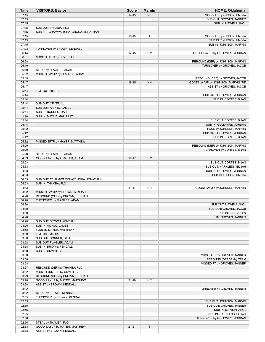| Time           | <b>VISITORS: Baylor</b>                          | <b>Score</b> | <b>Margin</b>  | <b>HOME: Oklahoma</b>               |
|----------------|--------------------------------------------------|--------------|----------------|-------------------------------------|
| 07:15          |                                                  | $14 - 15$    | V <sub>1</sub> | GOOD! FT by GIBSON, UMOJA           |
| 07:15          |                                                  |              |                | SUB OUT: GROVES, TANNER             |
| 07:15          |                                                  |              |                | SUB IN: MAWEIN, AKOL                |
| 07:15          | SUB OUT: THAMBA, FLO                             |              |                |                                     |
| 07:15          | SUB IN: TCHAMWA TCHATCHOUA, JONATHAN             |              |                |                                     |
| 07:15          |                                                  | $15 - 15$    | T              | GOOD! FT by GIBSON, UMOJA           |
| 07:15          |                                                  |              |                | SUB OUT: GIBSON, UMOJA              |
| 07:15          |                                                  |              |                | SUB IN: JOHNSON, MARVIN             |
| 07:03          | TURNOVER by BROWN, KENDALL                       |              |                |                                     |
| 06:44          |                                                  | $17 - 15$    | H <sub>2</sub> | GOOD! LAYUP by GOLDWIRE, JORDAN     |
| 06:31          | MISSED 3PTR by CRYER, LJ                         |              |                |                                     |
| 06:28          |                                                  |              |                | REBOUND (DEF) by JOHNSON, MARVIN    |
| 06:19          |                                                  |              |                | TURNOVER by GROVES, JACOB           |
| 06:19          | STEAL by FLAGLER, ADAM                           |              |                |                                     |
| 05:52          | MISSED LAYUP by FLAGLER, ADAM                    |              |                |                                     |
| 05:49          |                                                  |              |                | REBOUND (DEF) by GROVES, JACOB      |
| 05:47          |                                                  | 19-15        | H4             | GOOD! LAYUP by JOHNSON, MARVIN [FB] |
| 05:47          |                                                  |              |                | ASSIST by GROVES, JACOB             |
| 05:44          | TIMEOUT 30SEC                                    |              |                |                                     |
| 05:44          |                                                  |              |                | SUB OUT: GOLDWIRE, JORDAN           |
| 05:44          |                                                  |              |                | SUB IN: CORTES, BIJAN               |
| 05:44<br>05:44 | SUB OUT: CRYER, LJ<br>SUB OUT: AKINJO, JAMES     |              |                |                                     |
| 05:44          | SUB IN: BONNER, DALE                             |              |                |                                     |
| 05:44          | SUB IN: MAYER, MATTHEW                           |              |                |                                     |
| 05:44          |                                                  |              |                | SUB OUT: CORTES, BIJAN              |
| 05:44          |                                                  |              |                | SUB IN: GOLDWIRE, JORDAN            |
| 05:42          |                                                  |              |                | FOUL by JOHNSON, MARVIN             |
| 05:42          |                                                  |              |                | SUB OUT: GOLDWIRE, JORDAN           |
| 05:42          |                                                  |              |                | SUB IN: CORTES, BIJAN               |
| 05:32          | MISSED 3PTR by MAYER, MATTHEW                    |              |                |                                     |
| 05:29          |                                                  |              |                | REBOUND (DEF) by JOHNSON, MARVIN    |
| 05:20          |                                                  |              |                | TURNOVER by CORTES, BIJAN           |
| 05:20          | STEAL by FLAGLER, ADAM                           |              |                |                                     |
| 04:59          | GOOD! LAYUP by FLAGLER, ADAM                     | 19-17        | H <sub>2</sub> |                                     |
| 04:53          |                                                  |              |                | SUB OUT: CORTES, BIJAN              |
| 04:53          |                                                  |              |                | SUB OUT: HARKLESS, ELIJAH           |
| 04:53          |                                                  |              |                | SUB IN: GOLDWIRE, JORDAN            |
| 04:53          |                                                  |              |                | SUB IN: GIBSON, UMOJA               |
| 04:53          | SUB OUT: TCHAMWA TCHATCHOUA, JONATHAN            |              |                |                                     |
| 04:53          | SUB IN: THAMBA, FLO                              |              |                |                                     |
| 04:33          |                                                  | 21-17        | H4             | GOOD! LAYUP by JOHNSON, MARVIN      |
| 04:22          | MISSED LAYUP by BROWN, KENDALL                   |              |                |                                     |
| 04:20          | REBOUND (OFF) by BROWN, KENDALL                  |              |                |                                     |
| 04:20          | TURNOVER by FLAGLER, ADAM                        |              |                |                                     |
| 04:20          |                                                  |              |                | SUB OUT: MAWEIN, AKOL               |
| 04:20          |                                                  |              |                | SUB OUT: GROVES, JACOB              |
| 04:20          |                                                  |              |                | SUB IN: HILL, JALEN                 |
| 04:20          |                                                  |              |                | SUB IN: GROVES, TANNER              |
| 04:20          | SUB OUT: BROWN, KENDALL                          |              |                |                                     |
| 04:20          | SUB IN: AKINJO, JAMES                            |              |                |                                     |
| 03:58          | FOUL by MAYER, MATTHEW                           |              |                |                                     |
| 03:58          | <b>TIMEOUT MEDIA</b>                             |              |                |                                     |
| 03:58          | SUB OUT: BONNER, DALE                            |              |                |                                     |
| 03:58<br>03:58 | SUB OUT: FLAGLER, ADAM<br>SUB IN: BROWN, KENDALL |              |                |                                     |
| 03:58          | SUB IN: CRYER, LJ                                |              |                |                                     |
| 03:58          |                                                  |              |                | MISSED FT by GROVES, TANNER         |
| 03:58          |                                                  |              |                | REBOUND (DEADB) by TEAM             |
| 03:58          |                                                  |              |                | MISSED FT by GROVES, TANNER         |
| 03:57          | REBOUND (DEF) by THAMBA, FLO                     |              |                |                                     |
| 03:32          | MISSED JUMPER by CRYER, LJ                       |              |                |                                     |
| 03:29          | REBOUND (OFF) by BROWN, KENDALL                  |              |                |                                     |
| 03:28          | GOOD! LAYUP by MAYER, MATTHEW                    | $21 - 19$    | H <sub>2</sub> |                                     |
| 03:28          | ASSIST by BROWN, KENDALL                         |              |                |                                     |
| 03:02          |                                                  |              |                | TURNOVER by GROVES, TANNER          |
| 03:02          | STEAL by BROWN, KENDALL                          |              |                |                                     |
| 02:55          | TURNOVER by BROWN, KENDALL                       |              |                |                                     |
| 02:55          |                                                  |              |                | SUB OUT: JOHNSON, MARVIN            |
| 02:55          |                                                  |              |                | SUB OUT: GROVES, TANNER             |
| 02:55          |                                                  |              |                | SUB IN: MAWEIN, AKOL                |
| 02:55          |                                                  |              |                | SUB IN: HARKLESS, ELIJAH            |
| 02:50          |                                                  |              |                | TURNOVER by GOLDWIRE, JORDAN        |
| 02:50          | STEAL by THAMBA, FLO                             |              |                |                                     |
| 02:33          | GOOD! LAYUP by MAYER, MATTHEW                    | $21 - 21$    | T              |                                     |
| 02:33          | ASSIST by BROWN, KENDALL                         |              |                |                                     |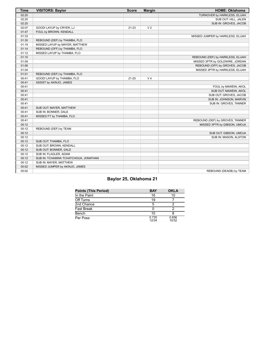| <b>Time</b> | <b>VISITORS: Baylor</b>              | <b>Score</b> | <b>Margin</b>  | <b>HOME: Oklahoma</b>             |
|-------------|--------------------------------------|--------------|----------------|-----------------------------------|
| 02:20       |                                      |              |                | TURNOVER by HARKLESS, ELIJAH      |
| 02:20       |                                      |              |                | SUB OUT: HILL, JALEN              |
| 02:20       |                                      |              |                | SUB IN: GROVES, JACOB             |
| 02:07       | GOOD! LAYUP by CRYER, LJ             | $21 - 23$    | V <sub>2</sub> |                                   |
| 01:47       | FOUL by BROWN, KENDALL               |              |                |                                   |
| 01:33       |                                      |              |                | MISSED JUMPER by HARKLESS, ELIJAH |
| 01:30       | REBOUND (DEF) by THAMBA, FLO         |              |                |                                   |
| 01:19       | MISSED LAYUP by MAYER, MATTHEW       |              |                |                                   |
| 01:14       | REBOUND (OFF) by THAMBA, FLO         |              |                |                                   |
| 01:12       | MISSED LAYUP by THAMBA, FLO          |              |                |                                   |
| 01:10       |                                      |              |                | REBOUND (DEF) by HARKLESS, ELIJAH |
| 01:09       |                                      |              |                | MISSED 3PTR by GOLDWIRE, JORDAN   |
| 01:06       |                                      |              |                | REBOUND (OFF) by GROVES, JACOB    |
| 01:04       |                                      |              |                | MISSED 3PTR by HARKLESS, ELIJAH   |
| 01:01       | REBOUND (DEF) by THAMBA, FLO         |              |                |                                   |
| 00:41       | GOOD! LAYUP by THAMBA, FLO           | $21 - 25$    | V <sub>4</sub> |                                   |
| 00:41       | ASSIST by AKINJO, JAMES              |              |                |                                   |
| 00:41       |                                      |              |                | FOUL by MAWEIN, AKOL              |
| 00:41       |                                      |              |                | SUB OUT: MAWEIN, AKOL             |
| 00:41       |                                      |              |                | SUB OUT: GROVES, JACOB            |
| 00:41       |                                      |              |                | SUB IN: JOHNSON, MARVIN           |
| 00:41       |                                      |              |                | SUB IN: GROVES, TANNER            |
| 00:41       | SUB OUT: MAYER, MATTHEW              |              |                |                                   |
| 00:41       | SUB IN: BONNER, DALE                 |              |                |                                   |
| 00:41       | MISSED FT by THAMBA, FLO             |              |                |                                   |
| 00:41       |                                      |              |                | REBOUND (DEF) by GROVES, TANNER   |
| 00:12       |                                      |              |                | MISSED 3PTR by GIBSON, UMOJA      |
| 00:12       | REBOUND (DEF) by TEAM                |              |                |                                   |
| 00:12       |                                      |              |                | SUB OUT: GIBSON, UMOJA            |
| 00:12       |                                      |              |                | SUB IN: MASON, ALSTON             |
| 00:12       | SUB OUT: THAMBA, FLO                 |              |                |                                   |
| 00:12       | SUB OUT: BROWN, KENDALL              |              |                |                                   |
| 00:12       | SUB OUT: BONNER, DALE                |              |                |                                   |
| 00:12       | SUB IN: FLAGLER, ADAM                |              |                |                                   |
| 00:12       | SUB IN: TCHAMWA TCHATCHOUA, JONATHAN |              |                |                                   |
| 00:12       | SUB IN: MAYER, MATTHEW               |              |                |                                   |
| 00:02       | MISSED JUMPER by AKINJO, JAMES       |              |                |                                   |
| 00:02       |                                      |              |                | REBOUND (DEADB) by TEAM           |

# **Baylor 25, Oklahoma 21**

| <b>Points (This Period)</b> | <b>BAY</b>     | <b>OKLA</b>    |
|-----------------------------|----------------|----------------|
| In the Paint                | 16             | 10             |
| Off Turns                   | 19             |                |
| 2nd Chance                  |                |                |
| <b>Fast Break</b>           |                |                |
| Bench                       | 10             |                |
| Per Poss                    | 0.735<br>12/34 | 0.656<br>10/32 |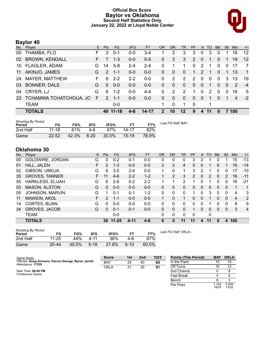### **Official Box Score Baylor vs Oklahoma Second Half Statistics Only January 22, 2022 at Lloyd Noble Center**



# **Baylor 40**

| No. | Player                 | S. | <b>Pts</b>    | <b>FG</b> | 3FG     | <b>FT</b> | OR             | DR       | TR             | <b>PF</b>      | A            | TO            | <b>B</b> lk | Stl            | Min            | $+/-$          |
|-----|------------------------|----|---------------|-----------|---------|-----------|----------------|----------|----------------|----------------|--------------|---------------|-------------|----------------|----------------|----------------|
| 00  | THAMBA, FLO            | F. | 3             | $0 - 1$   | $0 - 0$ | 3-4       | 1              | 2        | 3              | 3              | 0            | 3             | $\Omega$    |                | 16             | 12             |
|     | 02 BROWN, KENDALL      | F. |               | $1 - 3$   | $0 - 0$ | $5 - 5$   | $\overline{0}$ | 3        | 3              | $\overline{2}$ | $\mathbf{0}$ |               | $\Omega$    |                | 19             | 12             |
| 10  | <b>FLAGLER, ADAM</b>   | G  | 14            | $5 - 8$   | $2 - 4$ | $2 - 4$   | 0              |          |                | $\Omega$       | 2            | 1             | $\Omega$    | $\Omega$       | 17             | -7             |
| 11  | AKINJO, JAMES          | G  | $\mathcal{P}$ | $1 - 1$   | $0-0$   | $0 - 0$   | $\overline{0}$ | $\Omega$ | $\Omega$       | 1.             | 2            | 1             | $\Omega$    | 1.             | 13             | $\overline{1}$ |
| 24  | MAYER, MATTHEW         | F. | 6             | $2 - 2$   | $2 - 2$ | $0 - 0$   | 0              | 2        | $\overline{2}$ | 2              | $\Omega$     | $\mathbf{0}$  | $\Omega$    | 3              | 13             | 19             |
| 03  | <b>BONNER, DALE</b>    | G  | $\Omega$      | $0 - 0$   | $0 - 0$ | $0-0$     | $\Omega$       | 0        | 0              | $\mathbf{0}$   | $\Omega$     | 1             | $\Omega$    | $\overline{0}$ | 2              | $-4$           |
| 04  | CRYER, LJ              | G  | 6             | $1 - 2$   | $0-0$   | $4 - 4$   | $\Omega$       | 2        | 2              | 1.             | 0            | $\mathcal{P}$ | $\Omega$    | $\Omega$       | 16             | 5              |
| 23  | TCHAMWA TCHATCHOUA, JO | F  | 2             | $1 - 1$   | $0-0$   | $0 - 0$   | $\Omega$       | 0        | $\mathbf{0}$   | $\mathbf{0}$   | $\Omega$     |               | $\Omega$    |                | $\overline{4}$ | $-2$           |
|     | <b>TEAM</b>            |    |               | $0-0$     |         |           |                | 0        |                | $\Omega$       |              | 1             |             |                |                |                |
|     | <b>TOTALS</b>          |    | 40            | $11 - 18$ |         | 14-17     | $\overline{2}$ | 10       | 12             | 9              | 4            |               | $\bf{0}$    |                | 100            |                |

| <b>Shooting By Period</b><br>Period | FG        | FG%   | 3FG      | 3FG%  | FТ        | FT%   | Last FG Half: BAY - |
|-------------------------------------|-----------|-------|----------|-------|-----------|-------|---------------------|
| 2nd Half                            | $11 - 18$ | 61%   | 4-6      | 67%   | 14-17     | 82%   |                     |
| Game                                | $22 - 52$ | 42.3% | $6 - 20$ | 30.0% | $15 - 19$ | 78.9% |                     |

# **Oklahoma 30**

| No. | Plaver                  | S  | <b>Pts</b>    | <b>FG</b> | 3FG     | <b>FT</b> | <b>OR</b>      | DR             | TR       | PF            | A | TO | <b>Blk</b>   | Stl      | Min                     | $+/-$ |
|-----|-------------------------|----|---------------|-----------|---------|-----------|----------------|----------------|----------|---------------|---|----|--------------|----------|-------------------------|-------|
| 00  | GOLDWIRE, JORDAN        | G  | 0             | $0 - 2$   | $0 - 1$ | $0 - 0$   | 0              | 0              | 0        | 3             | 2 |    | 0            |          | 15                      | $-13$ |
| 01  | HILL, JALEN             | F  | $\mathcal{P}$ | $1 - 3$   | $0 - 0$ | $0 - 0$   | $\overline{2}$ | $\overline{2}$ | 4        | 0             | 0 |    | 0            |          | 16                      | $-14$ |
| 02  | GIBSON, UMOJA           | G  | 8             | $3 - 5$   | $2 - 4$ | $0 - 0$   | 1              | 0              | 1        | 3             | 2 |    | 0            | 0        | 17                      | $-10$ |
| 35  | <b>GROVES, TANNER</b>   | F. | 11            | $4-6$     | $2 - 2$ | $1 - 2$   | 1              | 2              | 3        | $\mathcal{P}$ | 0 | 2  | $\mathbf{0}$ | 2        | 16                      | $-11$ |
| 55  | <b>HARKLESS, ELIJAH</b> | G  | 6             | $2-6$     | $0 - 2$ | $2 - 2$   |                |                | 2        |               | 0 |    | 0            | 0        | 16                      | $-21$ |
| 03  | <b>MASON, ALSTON</b>    | G  | 0             | $0 - 0$   | $0 - 0$ | $0 - 0$   | 0              | 0              | 0        | 0             | 0 | 0  | $\Omega$     | $\Omega$ | 1                       | 1     |
| 05  | <b>JOHNSON, MARVIN</b>  | G  |               | $0 - 1$   | $0 - 1$ | $1 - 2$   | 0              | $\Omega$       | 0        |               | 0 | 3  | $\Omega$     | 0        | 4                       | 3     |
| 11  | MAWEIN, AKOL            | F  | 2             | $1 - 1$   | $0 - 0$ | $0 - 0$   |                | $\Omega$       |          | 0             | 0 |    | $\Omega$     | $\Omega$ | $\overline{\mathbf{4}}$ | 2     |
| 14  | CORTES, BIJAN           | G  | 0             | $0-0$     | $0 - 0$ | $0 - 0$   | 0              | $\Omega$       | $\Omega$ | $\Omega$      | 0 |    | 0            | 0        | 8                       | 9     |
| 34  | <b>GROVES, JACOB</b>    | G  | $\Omega$      | $0 - 1$   | $0 - 1$ | $0 - 0$   | 0              | 0              | $\Omega$ |               | 0 | 0  | $\Omega$     | 0        | 3                       | 4     |
|     | <b>TEAM</b>             |    |               | $0 - 0$   |         |           | 0              | 0              | 0        | 0             |   | 0  |              |          |                         |       |
|     | <b>TOTALS</b>           |    | 30            | $11 - 25$ | 4-11    | $4 - 6$   | 6              | 5              | 11       | 11            | 4 | 11 | 0            | 4        | 100                     |       |

| <b>Shooting By Period</b><br>Period | FG        | FG%   | 3FG      | 3FG%  |          | FT%   |
|-------------------------------------|-----------|-------|----------|-------|----------|-------|
| 2nd Half                            | 11-25     | 44%   | 4-11     | 36%   | 4-6      | 67%   |
| Game                                | $20 - 44$ | 45.5% | $5 - 18$ | 27.8% | $6 - 10$ | 60.0% |

*Last FG Half:* OKLA -

| Game Notes:                                                                | <b>Score</b> | 1st | 2 <sub>nd</sub> | <b>TOT</b> | <b>Points (This Period)</b> | <b>BAY</b>     | <b>OKLA</b>    |
|----------------------------------------------------------------------------|--------------|-----|-----------------|------------|-----------------------------|----------------|----------------|
| Officials: Doug Sirmons, Darron George, Byron Jarrett<br>Attendance: 11339 | <b>BAY</b>   | 25  | 40              | 65         | In the Paint                | 10             | 10             |
|                                                                            | OKLA         | 21  | 30              | 51         | Off Turns                   | 16             | 12             |
| Start Time: 08:00 PM                                                       |              |     |                 |            | 2nd Chance                  |                |                |
| Conference Game:                                                           |              |     |                 |            | <b>Fast Break</b>           |                |                |
|                                                                            |              |     |                 |            | Bench                       |                |                |
|                                                                            |              |     |                 |            | Per Poss                    | 1.143<br>18/35 | 0.938<br>13/32 |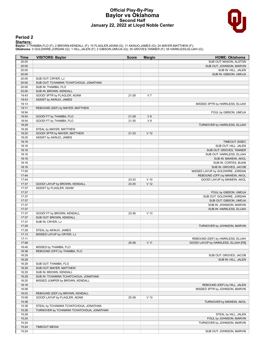#### **Official Play-By-Play Baylor vs Oklahoma Second Half January 22, 2022 at Lloyd Noble Center**



#### **Period 2**

<mark>Starters:</mark><br>Baylor: 0 THAMBA,FLO (F); 2 BROWN,KENDALL (F); 10 FLAGLER,ADAM (G); 11 AKINJO,JAMES (G); 24 MAYER,MATTHEW (F);<br>Oklahoma: 0 GOLDWIRE,JORDAN (G); 1 HILL,JALEN (F); 2 GIBSON,UMOJA (G); 35 GROVES,TANNER (F); 55 HA

| Time           | <b>VISITORS: Baylor</b>                  | <b>Score</b> | <b>Margin</b>   | <b>HOME: Oklahoma</b>                |
|----------------|------------------------------------------|--------------|-----------------|--------------------------------------|
| 20:00          |                                          |              |                 | SUB OUT: MASON, ALSTON               |
| 20:00          |                                          |              |                 | SUB OUT: JOHNSON, MARVIN             |
| 20:00          |                                          |              |                 | SUB IN: HILL, JALEN                  |
| 20:00          |                                          |              |                 | SUB IN: GIBSON, UMOJA                |
| 20:00          | SUB OUT: CRYER, LJ                       |              |                 |                                      |
| 20:00          | SUB OUT: TCHAMWA TCHATCHOUA, JONATHAN    |              |                 |                                      |
| 20:00          | SUB IN: THAMBA, FLO                      |              |                 |                                      |
| 20:00          | SUB IN: BROWN, KENDALL                   |              |                 |                                      |
| 19:43          | GOOD! 3PTR by FLAGLER, ADAM              | 21-28        | V <sub>7</sub>  |                                      |
| 19:43          | ASSIST by AKINJO, JAMES                  |              |                 |                                      |
| 19:13<br>19:11 |                                          |              |                 | MISSED 3PTR by HARKLESS, ELIJAH      |
| 18:54          | REBOUND (DEF) by MAYER, MATTHEW          |              |                 | FOUL by GIBSON, UMOJA                |
| 18:54          | GOOD! FT by THAMBA, FLO                  | 21-29        | V8              |                                      |
| 18:54          | GOOD! FT by THAMBA, FLO                  | 21-30        | V <sub>9</sub>  |                                      |
| 18:29          |                                          |              |                 | TURNOVER by HARKLESS, ELIJAH         |
| 18:29          | STEAL by MAYER, MATTHEW                  |              |                 |                                      |
| 18:20          | GOOD! 3PTR by MAYER, MATTHEW             | 21-33        | V <sub>12</sub> |                                      |
| 18:20          | ASSIST by AKINJO, JAMES                  |              |                 |                                      |
| 18:16          |                                          |              |                 | TIMEOUT 30SEC                        |
| 18:16          |                                          |              |                 | SUB OUT: HILL, JALEN                 |
| 18:16          |                                          |              |                 | SUB OUT: GROVES, TANNER              |
| 18:16          |                                          |              |                 | SUB OUT: HARKLESS, ELIJAH            |
| 18:16          |                                          |              |                 | SUB IN: MAWEIN, AKOL                 |
| 18:16          |                                          |              |                 | SUB IN: CORTES, BIJAN                |
| 18:16          |                                          |              |                 | SUB IN: GROVES, JACOB                |
| 17:50          |                                          |              |                 | MISSED LAYUP by GOLDWIRE, JORDAN     |
| 17:44          |                                          |              |                 | REBOUND (OFF) by MAWEIN, AKOL        |
| 17:44          |                                          | 23-33        | $V$ 10          | GOOD! LAYUP by MAWEIN, AKOL          |
| 17:37          | GOOD! LAYUP by BROWN, KENDALL            | 23-35        | V <sub>12</sub> |                                      |
| 17:37          | ASSIST by FLAGLER, ADAM                  |              |                 |                                      |
| 17:37          |                                          |              |                 | FOUL by GIBSON, UMOJA                |
| 17:37          |                                          |              |                 | SUB OUT: GOLDWIRE, JORDAN            |
| 17:37          |                                          |              |                 | SUB OUT: GIBSON, UMOJA               |
| 17:37          |                                          |              |                 | SUB IN: JOHNSON, MARVIN              |
| 17:37          |                                          |              |                 | SUB IN: HARKLESS, ELIJAH             |
| 17:37          | GOOD! FT by BROWN, KENDALL               | 23-36        | V <sub>13</sub> |                                      |
| 17:37          | SUB OUT: BROWN, KENDALL                  |              |                 |                                      |
| 17:37<br>17:29 | SUB IN: CRYER, LJ                        |              |                 | TURNOVER by JOHNSON, MARVIN          |
| 17:29          | STEAL by AKINJO, JAMES                   |              |                 |                                      |
| 17:13          | MISSED LAYUP by CRYER, LJ                |              |                 |                                      |
| 17:11          |                                          |              |                 | REBOUND (DEF) by HARKLESS, ELIJAH    |
| 17:08          |                                          | 25-36        | V <sub>11</sub> | GOOD! LAYUP by HARKLESS, ELIJAH [FB] |
| 16:40          | MISSED by THAMBA, FLO                    |              |                 |                                      |
| 16:36          | REBOUND (OFF) by THAMBA, FLO             |              |                 |                                      |
| 16:29          |                                          |              |                 | SUB OUT: GROVES, JACOB               |
| 16:29          |                                          |              |                 | SUB IN: HILL, JALEN                  |
| 16:29          | SUB OUT: THAMBA, FLO                     |              |                 |                                      |
| 16:29          | SUB OUT: MAYER, MATTHEW                  |              |                 |                                      |
| 16:29          | SUB IN: BROWN, KENDALL                   |              |                 |                                      |
| 16:29          | SUB IN: TCHAMWA TCHATCHOUA, JONATHAN     |              |                 |                                      |
| 16:20          | MISSED JUMPER by BROWN, KENDALL          |              |                 |                                      |
| 16:16          |                                          |              |                 | REBOUND (DEF) by HILL, JALEN         |
| 16:06          |                                          |              |                 | MISSED 3PTR by JOHNSON, MARVIN       |
| 16:03          | REBOUND (DEF) by BROWN, KENDALL          |              |                 |                                      |
| 15:59          | GOOD! LAYUP by FLAGLER, ADAM             | 25-38        | V <sub>13</sub> |                                      |
| 15:38          |                                          |              |                 | TURNOVER by MAWEIN, AKOL             |
| 15:38          | STEAL by TCHAMWA TCHATCHOUA, JONATHAN    |              |                 |                                      |
| 15:28          | TURNOVER by TCHAMWA TCHATCHOUA, JONATHAN |              |                 |                                      |
| 15:28          |                                          |              |                 | STEAL by HILL, JALEN                 |
| 15:24          |                                          |              |                 | FOUL by JOHNSON, MARVIN              |
| 15:24          |                                          |              |                 | TURNOVER by JOHNSON, MARVIN          |
| 15:24          | <b>TIMEOUT MEDIA</b>                     |              |                 |                                      |
| 15:24          |                                          |              |                 | SUB OUT: JOHNSON, MARVIN             |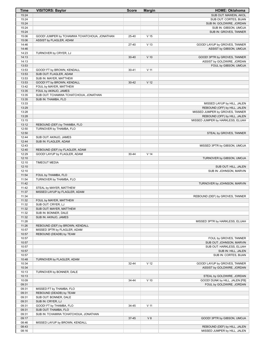| <b>Time</b>    | <b>VISITORS: Baylor</b>                                 | <b>Score</b> | <b>Margin</b>   | <b>HOME: Oklahoma</b>                                      |
|----------------|---------------------------------------------------------|--------------|-----------------|------------------------------------------------------------|
| 15:24          |                                                         |              |                 | SUB OUT: MAWEIN, AKOL                                      |
| 15:24          |                                                         |              |                 | SUB OUT: CORTES, BIJAN                                     |
| 15:24          |                                                         |              |                 | SUB IN: GOLDWIRE, JORDAN                                   |
| 15:24          |                                                         |              |                 | SUB IN: GIBSON, UMOJA                                      |
| 15:24          |                                                         |              |                 | SUB IN: GROVES, TANNER                                     |
| 15:06          | GOOD! JUMPER by TCHAMWA TCHATCHOUA, JONATHAN            | 25-40        | V <sub>15</sub> |                                                            |
| 15:06          | ASSIST by FLAGLER, ADAM                                 |              |                 |                                                            |
| 14:46          |                                                         | $27 - 40$    | V <sub>13</sub> | GOOD! LAYUP by GROVES, TANNER                              |
| 14:46<br>14:23 | TURNOVER by CRYER, LJ                                   |              |                 | ASSIST by GIBSON, UMOJA                                    |
| 14:13          |                                                         | $30 - 40$    | $V$ 10          | GOOD! 3PTR by GROVES, TANNER                               |
| 14:13          |                                                         |              |                 | ASSIST by GOLDWIRE, JORDAN                                 |
| 13:53          |                                                         |              |                 | FOUL by GIBSON, UMOJA                                      |
| 13:53          | GOOD! FT by BROWN, KENDALL                              | $30 - 41$    | V <sub>11</sub> |                                                            |
| 13:53          | SUB OUT: FLAGLER, ADAM                                  |              |                 |                                                            |
| 13:53          | SUB IN: MAYER, MATTHEW                                  |              |                 |                                                            |
| 13:53          | GOOD! FT by BROWN, KENDALL                              | $30 - 42$    | V <sub>12</sub> |                                                            |
| 13:42          | FOUL by MAYER, MATTHEW                                  |              |                 |                                                            |
| 13:35          | FOUL by AKINJO, JAMES                                   |              |                 |                                                            |
| 13:35          | SUB OUT: TCHAMWA TCHATCHOUA, JONATHAN                   |              |                 |                                                            |
| 13:35          | SUB IN: THAMBA, FLO                                     |              |                 |                                                            |
| 13:33          |                                                         |              |                 | MISSED LAYUP by HILL, JALEN                                |
| 13:29          |                                                         |              |                 | REBOUND (OFF) by HILL, JALEN                               |
| 13:28          |                                                         |              |                 | MISSED JUMPER by GROVES, TANNER                            |
| 13:28          |                                                         |              |                 | REBOUND (OFF) by HILL, JALEN                               |
| 13:15          |                                                         |              |                 | MISSED JUMPER by HARKLESS, ELIJAH                          |
| 13:12<br>12:50 | REBOUND (DEF) by THAMBA, FLO<br>TURNOVER by THAMBA, FLO |              |                 |                                                            |
| 12:50          |                                                         |              |                 | STEAL by GROVES, TANNER                                    |
| 12:44          | SUB OUT: AKINJO, JAMES                                  |              |                 |                                                            |
| 12:44          | SUB IN: FLAGLER, ADAM                                   |              |                 |                                                            |
| 12:43          |                                                         |              |                 | MISSED 3PTR by GIBSON, UMOJA                               |
| 12:40          | REBOUND (DEF) by FLAGLER, ADAM                          |              |                 |                                                            |
| 12:29          | GOOD! LAYUP by FLAGLER, ADAM                            | 30-44        | V <sub>14</sub> |                                                            |
| 12:10          |                                                         |              |                 | TURNOVER by GIBSON, UMOJA                                  |
| 12:10          | <b>TIMEOUT MEDIA</b>                                    |              |                 |                                                            |
| 12:10          |                                                         |              |                 | SUB OUT: HILL, JALEN                                       |
| 12:10          |                                                         |              |                 | SUB IN: JOHNSON, MARVIN                                    |
| 11:54          | FOUL by THAMBA, FLO                                     |              |                 |                                                            |
| 11:54          | TURNOVER by THAMBA, FLO                                 |              |                 |                                                            |
| 11:42          |                                                         |              |                 | TURNOVER by JOHNSON, MARVIN                                |
| 11:42          | STEAL by MAYER, MATTHEW                                 |              |                 |                                                            |
| 11:37          | MISSED LAYUP by FLAGLER, ADAM                           |              |                 |                                                            |
| 11:34          |                                                         |              |                 | REBOUND (DEF) by GROVES, TANNER                            |
| 11:32          | FOUL by MAYER, MATTHEW                                  |              |                 |                                                            |
| 11:32<br>11:32 | SUB OUT: CRYER, LJ<br>SUB OUT: MAYER, MATTHEW           |              |                 |                                                            |
| 11:32          | SUB IN: BONNER, DALE                                    |              |                 |                                                            |
| 11:32          | SUB IN: AKINJO, JAMES                                   |              |                 |                                                            |
| 11:28          |                                                         |              |                 | MISSED 3PTR by HARKLESS, ELIJAH                            |
| 11:26          | REBOUND (DEF) by BROWN, KENDALL                         |              |                 |                                                            |
| 10:57          | MISSED 3PTR by FLAGLER, ADAM                            |              |                 |                                                            |
| 10:57          | REBOUND (DEADB) by TEAM                                 |              |                 |                                                            |
| 10:57          |                                                         |              |                 | FOUL by GROVES, TANNER                                     |
| 10:57          |                                                         |              |                 | SUB OUT: JOHNSON, MARVIN                                   |
| 10:57          |                                                         |              |                 | SUB OUT: HARKLESS, ELIJAH                                  |
| 10:57          |                                                         |              |                 | SUB IN: HILL, JALEN                                        |
| 10:57          |                                                         |              |                 | SUB IN: CORTES, BIJAN                                      |
| 10:48          | TURNOVER by FLAGLER, ADAM                               |              |                 |                                                            |
| 10:34          |                                                         | 32-44        | V <sub>12</sub> | GOOD! LAYUP by GROVES, TANNER                              |
| 10:34          |                                                         |              |                 | ASSIST by GOLDWIRE, JORDAN                                 |
| 10:13          | TURNOVER by BONNER, DALE                                |              |                 |                                                            |
| 10:13          |                                                         |              |                 | STEAL by GOLDWIRE, JORDAN                                  |
| 10:09<br>09:31 |                                                         | 34-44        | $V$ 10          | GOOD! DUNK by HILL, JALEN [FB]<br>FOUL by GOLDWIRE, JORDAN |
| 09:31          | MISSED FT by THAMBA, FLO                                |              |                 |                                                            |
| 09:31          | REBOUND (DEADB) by TEAM                                 |              |                 |                                                            |
| 09:31          | SUB OUT: BONNER, DALE                                   |              |                 |                                                            |
| 09:31          | SUB IN: CRYER, LJ                                       |              |                 |                                                            |
| 09:31          | GOOD! FT by THAMBA, FLO                                 | 34-45        | $V$ 11          |                                                            |
| 09:31          | SUB OUT: THAMBA, FLO                                    |              |                 |                                                            |
| 09:31          | SUB IN: TCHAMWA TCHATCHOUA, JONATHAN                    |              |                 |                                                            |
| 09:17          |                                                         | 37-45        | V8              | GOOD! 3PTR by GIBSON, UMOJA                                |
| 08:46          | MISSED LAYUP by BROWN, KENDALL                          |              |                 |                                                            |
| 08:43          |                                                         |              |                 | REBOUND (DEF) by HILL, JALEN                               |
| 08:16          |                                                         |              |                 | MISSED JUMPER by HILL, JALEN                               |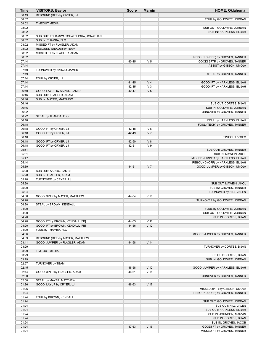| Time           | <b>VISITORS: Baylor</b>               | <b>Score</b> | <b>Margin</b>   | <b>HOME: Oklahoma</b>                                           |
|----------------|---------------------------------------|--------------|-----------------|-----------------------------------------------------------------|
| 08:13          | REBOUND (DEF) by CRYER, LJ            |              |                 |                                                                 |
| 08:02          |                                       |              |                 | FOUL by GOLDWIRE, JORDAN                                        |
| 08:02          | <b>TIMEOUT MEDIA</b>                  |              |                 |                                                                 |
| 08:02          |                                       |              |                 | SUB OUT: GOLDWIRE, JORDAN<br>SUB IN: HARKLESS, ELIJAH           |
| 08:02<br>08:02 | SUB OUT: TCHAMWA TCHATCHOUA, JONATHAN |              |                 |                                                                 |
| 08:02          | SUB IN: THAMBA, FLO                   |              |                 |                                                                 |
| 08:02          | MISSED FT by FLAGLER, ADAM            |              |                 |                                                                 |
| 08:02          | REBOUND (DEADB) by TEAM               |              |                 |                                                                 |
| 08:02          | MISSED FT by FLAGLER, ADAM            |              |                 |                                                                 |
| 08:02          |                                       |              |                 | REBOUND (DEF) by GROVES, TANNER                                 |
| 07:44          |                                       | 40-45        | V <sub>5</sub>  | GOOD! 3PTR by GROVES, TANNER                                    |
| 07:44          |                                       |              |                 | ASSIST by GIBSON, UMOJA                                         |
| 07:19<br>07:19 | TURNOVER by AKINJO, JAMES             |              |                 | STEAL by GROVES, TANNER                                         |
| 07:14          | FOUL by CRYER, LJ                     |              |                 |                                                                 |
| 07:14          |                                       | 41-45        | V <sub>4</sub>  | GOOD! FT by HARKLESS, ELIJAH                                    |
| 07:14          |                                       | 42-45        | $V_3$           | GOOD! FT by HARKLESS, ELIJAH                                    |
| 06:49          | GOOD! LAYUP by AKINJO, JAMES          | 42-47        | V <sub>5</sub>  |                                                                 |
| 06:46          | SUB OUT: FLAGLER, ADAM                |              |                 |                                                                 |
| 06:46          | SUB IN: MAYER, MATTHEW                |              |                 |                                                                 |
| 06:46          |                                       |              |                 | SUB OUT: CORTES, BIJAN                                          |
| 06:46<br>06:22 |                                       |              |                 | SUB IN: GOLDWIRE, JORDAN<br>TURNOVER by GROVES, TANNER          |
| 06:22          | STEAL by THAMBA, FLO                  |              |                 |                                                                 |
| 06:18          |                                       |              |                 | FOUL by HARKLESS, ELIJAH                                        |
| 06:18          |                                       |              |                 | FOUL (TECH) by GROVES, TANNER                                   |
| 06:18          | GOOD! FT by CRYER, LJ                 | 42-48        | $V_6$           |                                                                 |
| 06:18          | GOOD! FT by CRYER, LJ                 | 42-49        | V <sub>7</sub>  |                                                                 |
| 06:18          |                                       |              |                 | <b>TIMEOUT 30SEC</b>                                            |
| 06:18          | GOOD! FT by CRYER, LJ                 | 42-50        | V8              |                                                                 |
| 06:18<br>05:51 | GOOD! FT by CRYER, LJ                 | 42-51        | V <sub>9</sub>  | SUB OUT: GROVES, TANNER                                         |
| 05:51          |                                       |              |                 | SUB IN: MAWEIN, AKOL                                            |
| 05:47          |                                       |              |                 | MISSED JUMPER by HARKLESS, ELIJAH                               |
| 05:44          |                                       |              |                 | REBOUND (OFF) by HARKLESS, ELIJAH                               |
| 05:39          |                                       | 44-51        | V <sub>7</sub>  | GOOD! JUMPER by GIBSON, UMOJA                                   |
| 05:28          | SUB OUT: AKINJO, JAMES                |              |                 |                                                                 |
| 05:28          | SUB IN: FLAGLER, ADAM                 |              |                 |                                                                 |
| 05:20<br>05:20 | TURNOVER by CRYER, LJ                 |              |                 |                                                                 |
| 05:20          |                                       |              |                 | SUB OUT: MAWEIN, AKOL<br>SUB IN: GROVES, TANNER                 |
| 05:04          |                                       |              |                 | TURNOVER by HILL, JALEN                                         |
| 04:38          | GOOD! 3PTR by MAYER, MATTHEW          | 44-54        | $V$ 10          |                                                                 |
| 04:20          |                                       |              |                 | TURNOVER by GOLDWIRE, JORDAN                                    |
| 04:20          | STEAL by BROWN, KENDALL               |              |                 |                                                                 |
| 04:20          |                                       |              |                 | FOUL by GOLDWIRE, JORDAN                                        |
| 04:20<br>04:20 |                                       |              |                 | SUB OUT: GOLDWIRE, JORDAN                                       |
| 04:20          | GOOD! FT by BROWN, KENDALL [FB]       | 44-55        | V <sub>11</sub> | SUB IN: CORTES, BIJAN                                           |
| 04:20          | GOOD! FT by BROWN, KENDALL [FB]       | 44-56        | V <sub>12</sub> |                                                                 |
| 04:20          | FOUL by THAMBA, FLO                   |              |                 |                                                                 |
| 04:06          |                                       |              |                 | MISSED JUMPER by GROVES, TANNER                                 |
| 04:03          | REBOUND (DEF) by MAYER, MATTHEW       |              |                 |                                                                 |
| 03:41          | GOOD! JUMPER by FLAGLER, ADAM         | 44-58        | V <sub>14</sub> |                                                                 |
| 03:29          |                                       |              |                 | TURNOVER by CORTES, BIJAN                                       |
| 03:29<br>03:29 | <b>TIMEOUT MEDIA</b>                  |              |                 | SUB OUT: CORTES, BIJAN                                          |
| 03:29          |                                       |              |                 | SUB IN: GOLDWIRE, JORDAN                                        |
| 02:57          | TURNOVER by TEAM                      |              |                 |                                                                 |
| 02:45          |                                       | 46-58        | V <sub>12</sub> | GOOD! JUMPER by HARKLESS, ELIJAH                                |
| 02:14          | GOOD! 3PTR by FLAGLER, ADAM           | 46-61        | V <sub>15</sub> |                                                                 |
| 02:00          |                                       |              |                 | TURNOVER by GROVES, TANNER                                      |
| 02:00          | STEAL by MAYER, MATTHEW               |              |                 |                                                                 |
| 01:36<br>01:26 | GOOD! LAYUP by CRYER, LJ              | 46-63        | V 17            |                                                                 |
| 01:24          |                                       |              |                 | MISSED 3PTR by GIBSON, UMOJA<br>REBOUND (OFF) by GROVES, TANNER |
| 01:24          | FOUL by BROWN, KENDALL                |              |                 |                                                                 |
| 01:24          |                                       |              |                 | SUB OUT: GOLDWIRE, JORDAN                                       |
| 01:24          |                                       |              |                 | SUB OUT: HILL, JALEN                                            |
| 01:24          |                                       |              |                 | SUB OUT: HARKLESS, ELIJAH                                       |
| 01:24          |                                       |              |                 | SUB IN: JOHNSON, MARVIN                                         |
| 01:24          |                                       |              |                 | SUB IN: CORTES, BIJAN                                           |
| 01:24<br>01:24 |                                       | 47-63        | V <sub>16</sub> | SUB IN: GROVES, JACOB<br>GOOD! FT by GROVES, TANNER             |
| 01:24          |                                       |              |                 | MISSED FT by GROVES, TANNER                                     |
|                |                                       |              |                 |                                                                 |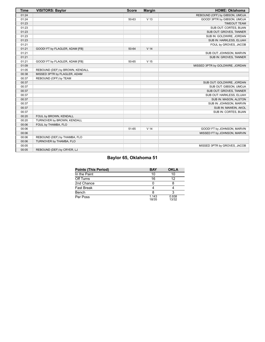| <b>Time</b> | <b>VISITORS: Baylor</b>         | <b>Score</b> | <b>Margin</b>   | <b>HOME: Oklahoma</b>           |
|-------------|---------------------------------|--------------|-----------------|---------------------------------|
| 01:24       |                                 |              |                 | REBOUND (OFF) by GIBSON, UMOJA  |
| 01:24       |                                 | 50-63        | V <sub>13</sub> | GOOD! 3PTR by GIBSON, UMOJA     |
| 01:23       |                                 |              |                 | <b>TIMEOUT TEAM</b>             |
| 01:23       |                                 |              |                 | SUB OUT: CORTES, BIJAN          |
| 01:23       |                                 |              |                 | SUB OUT: GROVES, TANNER         |
| 01:23       |                                 |              |                 | SUB IN: GOLDWIRE, JORDAN        |
| 01:23       |                                 |              |                 | SUB IN: HARKLESS, ELIJAH        |
| 01:21       |                                 |              |                 | FOUL by GROVES, JACOB           |
| 01:21       | GOOD! FT by FLAGLER, ADAM [FB]  | 50-64        | V <sub>14</sub> |                                 |
| 01:21       |                                 |              |                 | SUB OUT: JOHNSON, MARVIN        |
| 01:21       |                                 |              |                 | SUB IN: GROVES, TANNER          |
| 01:21       | GOOD! FT by FLAGLER, ADAM [FB]  | 50-65        | V <sub>15</sub> |                                 |
| 01:09       |                                 |              |                 | MISSED 3PTR by GOLDWIRE, JORDAN |
| 01:05       | REBOUND (DEF) by BROWN, KENDALL |              |                 |                                 |
| 00:38       | MISSED 3PTR by FLAGLER, ADAM    |              |                 |                                 |
| 00:37       | REBOUND (OFF) by TEAM           |              |                 |                                 |
| 00:37       |                                 |              |                 | SUB OUT: GOLDWIRE, JORDAN       |
| 00:37       |                                 |              |                 | SUB OUT: GIBSON, UMOJA          |
| 00:37       |                                 |              |                 | SUB OUT: GROVES, TANNER         |
| 00:37       |                                 |              |                 | SUB OUT: HARKLESS, ELIJAH       |
| 00:37       |                                 |              |                 | SUB IN: MASON, ALSTON           |
| 00:37       |                                 |              |                 | SUB IN: JOHNSON, MARVIN         |
| 00:37       |                                 |              |                 | SUB IN: MAWEIN, AKOL            |
| 00:37       |                                 |              |                 | SUB IN: CORTES, BIJAN           |
| 00:20       | FOUL by BROWN, KENDALL          |              |                 |                                 |
| 00:20       | TURNOVER by BROWN, KENDALL      |              |                 |                                 |
| 00:06       | FOUL by THAMBA, FLO             |              |                 |                                 |
| 00:06       |                                 | 51-65        | V <sub>14</sub> | GOOD! FT by JOHNSON, MARVIN     |
| 00:06       |                                 |              |                 | MISSED FT by JOHNSON, MARVIN    |
| 00:06       | REBOUND (DEF) by THAMBA, FLO    |              |                 |                                 |
| 00:06       | TURNOVER by THAMBA, FLO         |              |                 |                                 |
| 00:05       |                                 |              |                 | MISSED 3PTR by GROVES, JACOB    |
| 00:05       | REBOUND (DEF) by CRYER, LJ      |              |                 |                                 |

# **Baylor 65, Oklahoma 51**

| <b>Points (This Period)</b> | <b>BAY</b>     | <b>OKLA</b>    |
|-----------------------------|----------------|----------------|
| In the Paint                | 10             | 10             |
| Off Turns                   | 16             | 12             |
| 2nd Chance                  |                |                |
| Fast Break                  |                |                |
| Bench                       |                |                |
| Per Poss                    | 1.143<br>18/35 | 0.938<br>13/32 |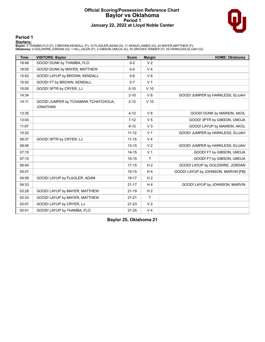### **Official Scoring/Possession Reference Chart Baylor vs Oklahoma Period 1 January 22, 2022 at Lloyd Noble Center**



#### **Period 1**

<mark>Starters:</mark><br>Baylor: 0 THAMBA,FLO (F); 2 BROWN,KENDALL (F); 10 FLAGLER,ADAM (G); 11 AKINJO,JAMES (G); 24 MAYER,MATTHEW (F);<br>Oklahoma: 0 GOLDWIRE,JORDAN (G); 1 HILL,JALEN (F); 2 GIBSON,UMOJA (G); 35 GROVES,TANNER (F); 55 HA

| <b>Time</b> | <b>VISITORS: Baylor</b>                                | <b>Score</b> | <b>Margin</b>   | <b>HOME: Oklahoma</b>               |
|-------------|--------------------------------------------------------|--------------|-----------------|-------------------------------------|
| 18:48       | GOOD! DUNK by THAMBA, FLO                              | $0 - 2$      | V <sub>2</sub>  |                                     |
| 18:00       | GOOD! DUNK by MAYER, MATTHEW                           | $0 - 4$      | V <sub>4</sub>  |                                     |
| 15:52       | GOOD! LAYUP by BROWN, KENDALL                          | $0-6$        | $V_6$           |                                     |
| 15:52       | GOOD! FT by BROWN, KENDALL                             | $0 - 7$      | V <sub>7</sub>  |                                     |
| 15:05       | GOOD! 3PTR by CRYER, LJ                                | $0 - 10$     | V <sub>10</sub> |                                     |
| 14:34       |                                                        | $2 - 10$     | V8              | GOOD! JUMPER by HARKLESS, ELIJAH    |
| 14:11       | GOOD! JUMPER by TCHAMWA TCHATCHOUA,<br><b>JONATHAN</b> | $2 - 12$     | $V$ 10          |                                     |
| 13:35       |                                                        | $4 - 12$     | V8              | GOOD! DUNK by MAWEIN, AKOL          |
| 13:04       |                                                        | $7 - 12$     | V <sub>5</sub>  | GOOD! 3PTR by GIBSON, UMOJA         |
| 11:07       |                                                        | $9 - 12$     | V <sub>3</sub>  | GOOD! LAYUP by MAWEIN, AKOL         |
| 10:22       |                                                        | $11 - 12$    | V <sub>1</sub>  | GOOD! JUMPER by HARKLESS, ELIJAH    |
| 08:37       | GOOD! 3PTR by CRYER, LJ                                | $11 - 15$    | V <sub>4</sub>  |                                     |
| 08:06       |                                                        | $13 - 15$    | V <sub>2</sub>  | GOOD! JUMPER by HARKLESS, ELIJAH    |
| 07:15       |                                                        | $14 - 15$    | V <sub>1</sub>  | GOOD! FT by GIBSON, UMOJA           |
| 07:15       |                                                        | $15 - 15$    | T               | GOOD! FT by GIBSON, UMOJA           |
| 06:44       |                                                        | $17 - 15$    | H <sub>2</sub>  | GOOD! LAYUP by GOLDWIRE, JORDAN     |
| 05:47       |                                                        | 19-15        | H <sub>4</sub>  | GOOD! LAYUP by JOHNSON, MARVIN [FB] |
| 04:59       | GOOD! LAYUP by FLAGLER, ADAM                           | 19-17        | H <sub>2</sub>  |                                     |
| 04:33       |                                                        | $21 - 17$    | H <sub>4</sub>  | GOOD! LAYUP by JOHNSON, MARVIN      |
| 03:28       | GOOD! LAYUP by MAYER, MATTHEW                          | $21 - 19$    | H <sub>2</sub>  |                                     |
| 02:33       | GOOD! LAYUP by MAYER, MATTHEW                          | $21 - 21$    | T               |                                     |
| 02:07       | GOOD! LAYUP by CRYER, LJ                               | $21 - 23$    | V <sub>2</sub>  |                                     |
| 00:41       | GOOD! LAYUP by THAMBA, FLO                             | $21 - 25$    | V <sub>4</sub>  |                                     |

**Baylor 25, Oklahoma 21**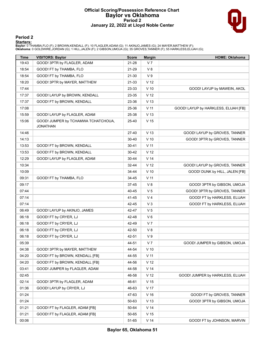#### **Official Scoring/Possession Reference Chart Baylor vs Oklahoma Period 2 January 22, 2022 at Lloyd Noble Center**



### **Period 2**

#### **Starters:**

Baylor: 0 THAMBA,FLO (F); 2 BROWN,KENDALL (F); 10 FLAGLER,ADAM (G); 11 AKINJO,JAMES (G); 24 MAYER,MATTHEW (F);<br>**Oklahoma**: 0 GOLDWIRE,JORDAN (G); 1 HILL,JALEN (F); 2 GIBSON,UMOJA (G); 35 GROVES,TANNER (F); 55 HARKLESS,ELIJ

| <b>Time</b> | <b>VISITORS: Baylor</b>                                | <b>Score</b> | <b>Margin</b>   | <b>HOME: Oklahoma</b>                |
|-------------|--------------------------------------------------------|--------------|-----------------|--------------------------------------|
| 19:43       | GOOD! 3PTR by FLAGLER, ADAM                            | 21-28        | V <sub>7</sub>  |                                      |
| 18:54       | GOOD! FT by THAMBA, FLO                                | 21-29        | V8              |                                      |
| 18:54       | GOOD! FT by THAMBA, FLO                                | 21-30        | V <sub>9</sub>  |                                      |
| 18:20       | GOOD! 3PTR by MAYER, MATTHEW                           | 21-33        | V <sub>12</sub> |                                      |
| 17:44       |                                                        | 23-33        | $V$ 10          | GOOD! LAYUP by MAWEIN, AKOL          |
| 17:37       | GOOD! LAYUP by BROWN, KENDALL                          | 23-35        | V <sub>12</sub> |                                      |
| 17:37       | GOOD! FT by BROWN, KENDALL                             | 23-36        | V <sub>13</sub> |                                      |
| 17:08       |                                                        | 25-36        | $V$ 11          | GOOD! LAYUP by HARKLESS, ELIJAH [FB] |
| 15:59       | GOOD! LAYUP by FLAGLER, ADAM                           | 25-38        | V <sub>13</sub> |                                      |
| 15:06       | GOOD! JUMPER by TCHAMWA TCHATCHOUA,<br><b>JONATHAN</b> | 25-40        | V <sub>15</sub> |                                      |
| 14:46       |                                                        | 27-40        | V <sub>13</sub> | GOOD! LAYUP by GROVES, TANNER        |
| 14:13       |                                                        | $30 - 40$    | $V$ 10          | GOOD! 3PTR by GROVES, TANNER         |
| 13:53       | GOOD! FT by BROWN, KENDALL                             | $30 - 41$    | V <sub>11</sub> |                                      |
| 13:53       | GOOD! FT by BROWN, KENDALL                             | 30-42        | V <sub>12</sub> |                                      |
| 12:29       | GOOD! LAYUP by FLAGLER, ADAM                           | 30-44        | V <sub>14</sub> |                                      |
| 10:34       |                                                        | 32-44        | V <sub>12</sub> | GOOD! LAYUP by GROVES, TANNER        |
| 10:09       |                                                        | 34-44        | $V$ 10          | GOOD! DUNK by HILL, JALEN [FB]       |
| 09:31       | GOOD! FT by THAMBA, FLO                                | 34-45        | $V$ 11          |                                      |
| 09:17       |                                                        | 37-45        | V 8             | GOOD! 3PTR by GIBSON, UMOJA          |
| 07:44       |                                                        | 40-45        | V <sub>5</sub>  | GOOD! 3PTR by GROVES, TANNER         |
| 07:14       |                                                        | 41-45        | V <sub>4</sub>  | GOOD! FT by HARKLESS, ELIJAH         |
| 07:14       |                                                        | 42-45        | $V_3$           | GOOD! FT by HARKLESS, ELIJAH         |
| 06:49       | GOOD! LAYUP by AKINJO, JAMES                           | 42-47        | V <sub>5</sub>  |                                      |
| 06:18       | GOOD! FT by CRYER, LJ                                  | 42-48        | $V_6$           |                                      |
| 06:18       | GOOD! FT by CRYER, LJ                                  | 42-49        | V <sub>7</sub>  |                                      |
| 06:18       | GOOD! FT by CRYER, LJ                                  | 42-50        | V8              |                                      |
| 06:18       | GOOD! FT by CRYER, LJ                                  | 42-51        | V <sub>9</sub>  |                                      |
| 05:39       |                                                        | 44-51        | V <sub>7</sub>  | GOOD! JUMPER by GIBSON, UMOJA        |
| 04:38       | GOOD! 3PTR by MAYER, MATTHEW                           | 44-54        | $V$ 10          |                                      |
| 04:20       | GOOD! FT by BROWN, KENDALL [FB]                        | 44-55        | $V$ 11          |                                      |
| 04:20       | GOOD! FT by BROWN, KENDALL [FB]                        | 44-56        | V <sub>12</sub> |                                      |
| 03:41       | GOOD! JUMPER by FLAGLER, ADAM                          | 44-58        | V <sub>14</sub> |                                      |
| 02:45       |                                                        | 46-58        | V <sub>12</sub> | GOOD! JUMPER by HARKLESS, ELIJAH     |
| 02:14       | GOOD! 3PTR by FLAGLER, ADAM                            | 46-61        | V <sub>15</sub> |                                      |
| 01:36       | GOOD! LAYUP by CRYER, LJ                               | 46-63        | V 17            |                                      |
| 01:24       |                                                        | 47-63        | V <sub>16</sub> | GOOD! FT by GROVES, TANNER           |
| 01:24       |                                                        | 50-63        | V <sub>13</sub> | GOOD! 3PTR by GIBSON, UMOJA          |
| 01:21       | GOOD! FT by FLAGLER, ADAM [FB]                         | 50-64        | V <sub>14</sub> |                                      |
| 01:21       | GOOD! FT by FLAGLER, ADAM [FB]                         | 50-65        | V <sub>15</sub> |                                      |
| 00:06       |                                                        | 51-65        | V <sub>14</sub> | GOOD! FT by JOHNSON, MARVIN          |

**Baylor 65, Oklahoma 51**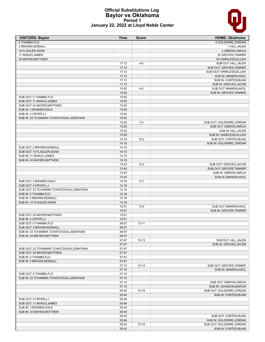#### **Official Substitutions Log Baylor vs Oklahoma Period 1 January 22, 2022 at Lloyd Noble Center**

| <b>VISITORS: Baylor</b>                  | Time  | <b>Score</b> | <b>HOME: Oklahoma</b>                         |
|------------------------------------------|-------|--------------|-----------------------------------------------|
| 0 THAMBA, FLO                            |       |              | 0 GOLDWIRE, JORDAN                            |
| 2 BROWN, KENDALL                         |       |              | 1 HILL, JALEN                                 |
| 10 FLAGLER, ADAM                         |       |              | 2 GIBSON, UMOJA                               |
| 11 AKINJO, JAMES                         |       |              | 35 GROVES, TANNER                             |
| 24 MAYER, MATTHEW                        |       |              | 55 HARKLESS, ELIJAH                           |
|                                          | 17:13 | $4 - 0$      | SUB OUT: HILL, JALEN                          |
|                                          | 17:13 |              | SUB OUT: GROVES, TANNER                       |
|                                          | 17:13 |              | SUB OUT: HARKLESS, ELIJAH                     |
|                                          | 17:13 |              | SUB IN: MAWEIN, AKOL                          |
|                                          | 17:13 |              | SUB IN: CORTES, BIJAN                         |
|                                          | 17:13 |              | SUB IN: GROVES, JACOB                         |
|                                          | 15:52 | $6-0$        | SUB OUT: MAWEIN, AKOL                         |
|                                          | 15:52 |              | SUB IN: GROVES, TANNER                        |
| SUB OUT: 0 THAMBA, FLO                   | 15:52 |              |                                               |
| SUB OUT: 11 AKINJO, JAMES                | 15:52 |              |                                               |
| SUB OUT: 24 MAYER, MATTHEW               | 15:52 |              |                                               |
| SUB IN: 3 BONNER, DALE                   | 15:52 |              |                                               |
| SUB IN: 4 CRYER, LJ                      | 15:52 |              |                                               |
| SUB IN: 23 TCHAMWA TCHATCHOUA, JONATHAN  | 15:52 |              |                                               |
|                                          | 15:25 | $7-0$        | SUB OUT: GOLDWIRE, JORDAN                     |
|                                          | 15:25 |              | SUB OUT: GIBSON, UMOJA                        |
|                                          | 15:25 |              | SUB IN: HILL, JALEN                           |
|                                          | 15:25 |              | SUB IN: HARKLESS, ELIJAH                      |
|                                          | 14:15 | $10 - 2$     | SUB OUT: CORTES, BIJAN                        |
|                                          | 14:15 |              | SUB IN: GOLDWIRE, JORDAN                      |
| SUB OUT: 2 BROWN, KENDALL                | 14:15 |              |                                               |
| SUB OUT: 10 FLAGLER, ADAM                | 14:15 |              |                                               |
| SUB IN: 11 AKINJO, JAMES                 | 14:15 |              |                                               |
| SUB IN: 24 MAYER, MATTHEW                | 14:15 |              |                                               |
|                                          | 13:43 | $12 - 2$     | SUB OUT: GROVES, JACOB                        |
|                                          | 13:43 |              | SUB OUT: GROVES, TANNER                       |
|                                          | 13:43 |              | SUB IN: GIBSON, UMOJA                         |
|                                          | 13:43 |              | SUB IN: MAWEIN, AKOL                          |
| SUB OUT: 3 BONNER, DALE                  | 12:16 | $12 - 7$     |                                               |
| SUB OUT: 4 CRYER, LJ                     | 12:16 |              |                                               |
| SUB OUT: 23 TCHAMWA TCHATCHOUA, JONATHAN | 12:16 |              |                                               |
| SUB IN: 0 THAMBA, FLO                    | 12:16 |              |                                               |
| SUB IN: 2 BROWN, KENDALL                 | 12:16 |              |                                               |
| SUB IN: 10 FLAGLER, ADAM                 | 12:16 |              |                                               |
|                                          | 10:51 | $12-9$       | SUB OUT: MAWEIN, AKOL                         |
|                                          | 10:51 |              | SUB IN: GROVES, TANNER                        |
| SUB OUT: 24 MAYER, MATTHEW               | 10:51 |              |                                               |
| SUB IN: 4 CRYER, LJ                      | 10:51 |              |                                               |
| SUB OUT: 0 THAMBA, FLO                   | 08:57 | $12 - 11$    |                                               |
| SUB OUT: 2 BROWN, KENDALL                | 08:57 |              |                                               |
| SUB IN: 23 TCHAMWA TCHATCHOUA, JONATHAN  | 08:57 |              |                                               |
| SUB IN: 24 MAYER, MATTHEW                | 08:57 |              |                                               |
|                                          | 07:47 | $15 - 13$    |                                               |
|                                          | 07:47 |              | SUB OUT: HILL, JALEN<br>SUB IN: GROVES, JACOB |
|                                          | 07:47 |              |                                               |
| SUB OUT: 23 TCHAMWA TCHATCHOUA, JONATHAN |       |              |                                               |
| SUB OUT: 24 MAYER, MATTHEW               | 07:47 |              |                                               |
| SUB IN: 0 THAMBA, FLO                    | 07:47 |              |                                               |
| SUB IN: 2 BROWN, KENDALL                 | 07:47 |              |                                               |
|                                          | 07:15 | $15 - 14$    | SUB OUT: GROVES, TANNER                       |
|                                          | 07:15 |              | SUB IN: MAWEIN, AKOL                          |
| SUB OUT: 0 THAMBA, FLO                   | 07:15 |              |                                               |
| SUB IN: 23 TCHAMWA TCHATCHOUA, JONATHAN  | 07:15 |              |                                               |
|                                          | 07:15 |              | SUB OUT: GIBSON, UMOJA                        |
|                                          | 07:15 |              | SUB IN: JOHNSON, MARVIN                       |
|                                          | 05:44 | 15-19        | SUB OUT: GOLDWIRE, JORDAN                     |
|                                          | 05:44 |              | SUB IN: CORTES, BIJAN                         |
| SUB OUT: 4 CRYER, LJ                     | 05:44 |              |                                               |
| SUB OUT: 11 AKINJO, JAMES                | 05:44 |              |                                               |
| SUB IN: 3 BONNER, DALE                   | 05:44 |              |                                               |
| SUB IN: 24 MAYER, MATTHEW                | 05:44 |              |                                               |
|                                          | 05:44 |              | SUB OUT: CORTES, BIJAN                        |
|                                          | 05:44 |              | SUB IN: GOLDWIRE, JORDAN                      |
|                                          | 05:42 | 15-19        | SUB OUT: GOLDWIRE, JORDAN                     |
|                                          | 05:42 |              | SUB IN: CORTES, BIJAN                         |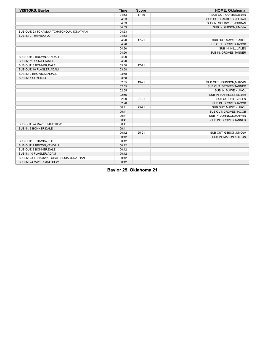| <b>VISITORS: Baylor</b>                  | <b>Time</b> | <b>Score</b> | <b>HOME: Oklahoma</b>     |
|------------------------------------------|-------------|--------------|---------------------------|
|                                          | 04:53       | $17-19$      | SUB OUT: CORTES, BIJAN    |
|                                          | 04:53       |              | SUB OUT: HARKLESS, ELIJAH |
|                                          | 04:53       |              | SUB IN: GOLDWIRE, JORDAN  |
|                                          | 04:53       |              | SUB IN: GIBSON, UMOJA     |
| SUB OUT: 23 TCHAMWA TCHATCHOUA, JONATHAN | 04:53       |              |                           |
| SUB IN: 0 THAMBA, FLO                    | 04:53       |              |                           |
|                                          | 04:20       | $17 - 21$    | SUB OUT: MAWEIN, AKOL     |
|                                          | 04:20       |              | SUB OUT: GROVES, JACOB    |
|                                          | 04:20       |              | SUB IN: HILL, JALEN       |
|                                          | 04:20       |              | SUB IN: GROVES, TANNER    |
| SUB OUT: 2 BROWN, KENDALL                | 04:20       |              |                           |
| SUB IN: 11 AKINJO, JAMES                 | 04:20       |              |                           |
| SUB OUT: 3 BONNER, DALE                  | 03:58       | $17 - 21$    |                           |
| SUB OUT: 10 FLAGLER, ADAM                | 03:58       |              |                           |
| SUB IN: 2 BROWN, KENDALL                 | 03:58       |              |                           |
| SUB IN: 4 CRYER, LJ                      | 03:58       |              |                           |
|                                          | 02:55       | 19-21        | SUB OUT: JOHNSON, MARVIN  |
|                                          | 02:55       |              | SUB OUT: GROVES, TANNER   |
|                                          | 02:55       |              | SUB IN: MAWEIN, AKOL      |
|                                          | 02:55       |              | SUB IN: HARKLESS, ELIJAH  |
|                                          | 02:20       | $21 - 21$    | SUB OUT: HILL, JALEN      |
|                                          | 02:20       |              | SUB IN: GROVES, JACOB     |
|                                          | 00:41       | $25 - 21$    | SUB OUT: MAWEIN, AKOL     |
|                                          | 00:41       |              | SUB OUT: GROVES, JACOB    |
|                                          | 00:41       |              | SUB IN: JOHNSON, MARVIN   |
|                                          | 00:41       |              | SUB IN: GROVES, TANNER    |
| SUB OUT: 24 MAYER, MATTHEW               | 00:41       |              |                           |
| SUB IN: 3 BONNER, DALE                   | 00:41       |              |                           |
|                                          | 00:12       | $25 - 21$    | SUB OUT: GIBSON, UMOJA    |
|                                          | 00:12       |              | SUB IN: MASON, ALSTON     |
| SUB OUT: 0 THAMBA, FLO                   | 00:12       |              |                           |
| SUB OUT: 2 BROWN, KENDALL                | 00:12       |              |                           |
| SUB OUT: 3 BONNER, DALE                  | 00:12       |              |                           |
| SUB IN: 10 FLAGLER, ADAM                 | 00:12       |              |                           |
| SUB IN: 23 TCHAMWA TCHATCHOUA, JONATHAN  | 00:12       |              |                           |
| SUB IN: 24 MAYER, MATTHEW                | 00:12       |              |                           |

**Baylor 25, Oklahoma 21**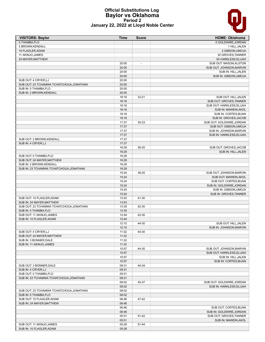#### **Official Substitutions Log Baylor vs Oklahoma Period 2 January 22, 2022 at Lloyd Noble Center**

| <b>VISITORS: Baylor</b>                                          | Time           | <b>Score</b>             | <b>HOME: Oklahoma</b>     |
|------------------------------------------------------------------|----------------|--------------------------|---------------------------|
| 0 THAMBA, FLO                                                    |                |                          | 0 GOLDWIRE, JORDAN        |
| 2 BROWN, KENDALL                                                 |                |                          | 1 HILL, JALEN             |
| 10 FLAGLER, ADAM                                                 |                |                          | 2 GIBSON, UMOJA           |
| 11 AKINJO, JAMES                                                 |                |                          | 35 GROVES, TANNER         |
| 24 MAYER, MATTHEW                                                |                |                          | 55 HARKLESS, ELIJAH       |
|                                                                  | 20:00          | $\overline{\phantom{a}}$ | SUB OUT: MASON, ALSTON    |
|                                                                  | 20:00          |                          | SUB OUT: JOHNSON, MARVIN  |
|                                                                  | 20:00          |                          | SUB IN: HILL, JALEN       |
|                                                                  | 20:00          |                          | SUB IN: GIBSON, UMOJA     |
| SUB OUT: 4 CRYER, LJ<br>SUB OUT: 23 TCHAMWA TCHATCHOUA, JONATHAN | 20:00          |                          |                           |
| SUB IN: 0 THAMBA.FLO                                             | 20:00          |                          |                           |
| SUB IN: 2 BROWN, KENDALL                                         | 20:00          |                          |                           |
|                                                                  | 20:00<br>18:16 | $33 - 21$                | SUB OUT: HILL, JALEN      |
|                                                                  | 18:16          |                          | SUB OUT: GROVES, TANNER   |
|                                                                  | 18:16          |                          | SUB OUT: HARKLESS, ELIJAH |
|                                                                  | 18:16          |                          | SUB IN: MAWEIN, AKOL      |
|                                                                  | 18:16          |                          | SUB IN: CORTES, BIJAN     |
|                                                                  | 18:16          |                          | SUB IN: GROVES, JACOB     |
|                                                                  | 17:37          | 35-23                    | SUB OUT: GOLDWIRE, JORDAN |
|                                                                  | 17:37          |                          | SUB OUT: GIBSON, UMOJA    |
|                                                                  | 17:37          |                          | SUB IN: JOHNSON, MARVIN   |
|                                                                  | 17:37          |                          | SUB IN: HARKLESS, ELIJAH  |
| SUB OUT: 2 BROWN, KENDALL                                        | 17:37          |                          |                           |
| SUB IN: 4 CRYER, LJ                                              | 17:37          |                          |                           |
|                                                                  | 16:29          | 36-25                    | SUB OUT: GROVES, JACOB    |
|                                                                  | 16:29          |                          | SUB IN: HILL, JALEN       |
| SUB OUT: 0 THAMBA, FLO                                           | 16:29          |                          |                           |
| SUB OUT: 24 MAYER, MATTHEW                                       | 16:29          |                          |                           |
| SUB IN: 2 BROWN, KENDALL                                         | 16:29          |                          |                           |
| SUB IN: 23 TCHAMWA TCHATCHOUA, JONATHAN                          | 16:29          |                          |                           |
|                                                                  | 15:24          | 38-25                    | SUB OUT: JOHNSON, MARVIN  |
|                                                                  | 15:24          |                          | SUB OUT: MAWEIN, AKOL     |
|                                                                  | 15:24          |                          | SUB OUT: CORTES, BIJAN    |
|                                                                  | 15:24          |                          | SUB IN: GOLDWIRE, JORDAN  |
|                                                                  | 15:24          |                          | SUB IN: GIBSON, UMOJA     |
|                                                                  | 15:24          |                          | SUB IN: GROVES, TANNER    |
| SUB OUT: 10 FLAGLER, ADAM                                        | 13:53          | 41-30                    |                           |
| SUB IN: 24 MAYER, MATTHEW                                        | 13:53          |                          |                           |
| SUB OUT: 23 TCHAMWA TCHATCHOUA, JONATHAN                         | 13:35          | 42-30                    |                           |
| SUB IN: 0 THAMBA, FLO                                            | 13:35          |                          |                           |
| SUB OUT: 11 AKINJO, JAMES                                        | 12:44          | 42-30                    |                           |
| SUB IN: 10 FLAGLER, ADAM                                         | 12:44          |                          |                           |
|                                                                  | 12:10          | 44-30                    | SUB OUT: HILL, JALEN      |
|                                                                  | 12:10          |                          | SUB IN: JOHNSON, MARVIN   |
| SUB OUT: 4 CRYER, LJ<br>SUB OUT: 24 MAYER, MATTHEW               | 11:32<br>11:32 | 44-30                    |                           |
| SUB IN: 3 BONNER, DALE                                           | 11:32          |                          |                           |
| SUB IN: 11 AKINJO, JAMES                                         | 11:32          |                          |                           |
|                                                                  | 10:57          | 44-30                    | SUB OUT: JOHNSON, MARVIN  |
|                                                                  | 10:57          |                          | SUB OUT: HARKLESS, ELIJAH |
|                                                                  | 10:57          |                          | SUB IN: HILL, JALEN       |
|                                                                  | 10:57          |                          | SUB IN: CORTES, BIJAN     |
| SUB OUT: 3 BONNER, DALE                                          | 09:31          | 44-34                    |                           |
| SUB IN: 4 CRYER, LJ                                              | 09:31          |                          |                           |
| SUB OUT: 0 THAMBA, FLO                                           | 09:31          |                          |                           |
| SUB IN: 23 TCHAMWA TCHATCHOUA, JONATHAN                          | 09:31          |                          |                           |
|                                                                  | 08:02          | 45-37                    | SUB OUT: GOLDWIRE, JORDAN |
|                                                                  | 08:02          |                          | SUB IN: HARKLESS, ELIJAH  |
| SUB OUT: 23 TCHAMWA TCHATCHOUA, JONATHAN                         | 08:02          |                          |                           |
| SUB IN: 0 THAMBA, FLO                                            | 08:02          |                          |                           |
| SUB OUT: 10 FLAGLER, ADAM                                        | 06:46          | 47-42                    |                           |
| SUB IN: 24 MAYER, MATTHEW                                        | 06:46          |                          |                           |
|                                                                  | 06:46          |                          | SUB OUT: CORTES, BIJAN    |
|                                                                  | 06:46          |                          | SUB IN: GOLDWIRE, JORDAN  |
|                                                                  | 05:51          | 51-42                    | SUB OUT: GROVES, TANNER   |
|                                                                  | 05:51          |                          | SUB IN: MAWEIN, AKOL      |
| SUB OUT: 11 AKINJO, JAMES                                        | 05:28          | 51-44                    |                           |
| SUB IN: 10 FLAGLER, ADAM                                         | 05:28          |                          |                           |